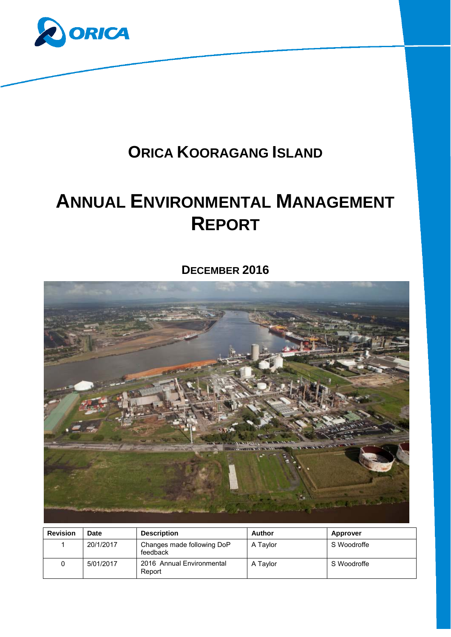

## **ORICA KOORAGANG ISLAND**

# **ANNUAL ENVIRONMENTAL MANAGEMENT REPORT**

## **DECEMBER 2016**



| <b>Revision</b> | <b>Date</b> | <b>Description</b>                     | Author   | <b>Approver</b> |
|-----------------|-------------|----------------------------------------|----------|-----------------|
|                 | 20/1/2017   | Changes made following DoP<br>feedback | A Taylor | S Woodroffe     |
|                 | 5/01/2017   | 2016 Annual Environmental<br>Report    | A Tavlor | S Woodroffe     |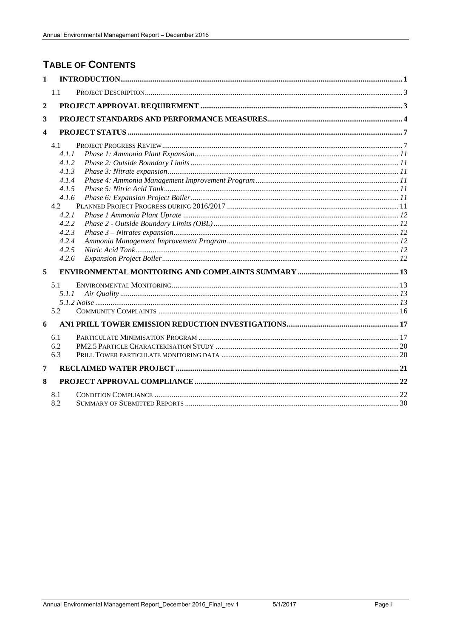## **TABLE OF CONTENTS**

| $\mathbf{1}$            |                                                                                                                        |  |
|-------------------------|------------------------------------------------------------------------------------------------------------------------|--|
|                         | 1.1                                                                                                                    |  |
| $\overline{2}$          |                                                                                                                        |  |
| 3                       |                                                                                                                        |  |
| $\overline{\mathbf{4}}$ |                                                                                                                        |  |
|                         | 4.1<br>4.1.1<br>4.1.2<br>4.1.3<br>4.1.4<br>4.1.5<br>4.1.6<br>4.2<br>4.2.1<br>4.2.2<br>4.2.3<br>4.2.4<br>4.2.5<br>4.2.6 |  |
| 5                       |                                                                                                                        |  |
|                         | 5.1<br>5.1.1<br>5.2                                                                                                    |  |
| 6                       |                                                                                                                        |  |
|                         | 6.1<br>6.2<br>6.3                                                                                                      |  |
| 7                       |                                                                                                                        |  |
| 8                       |                                                                                                                        |  |
|                         | 8.1<br>8.2                                                                                                             |  |

5/1/2017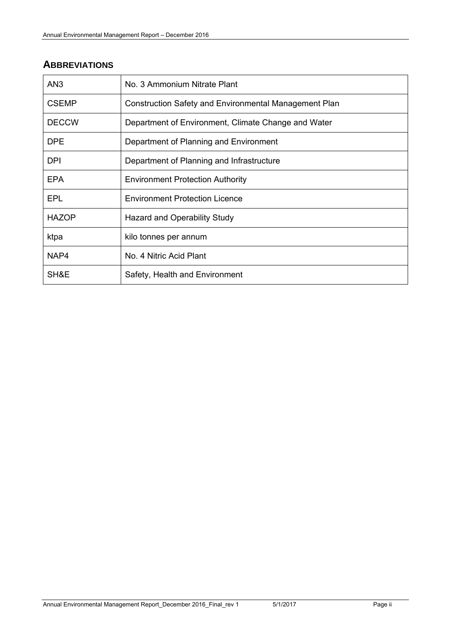## **ABBREVIATIONS**

| AN <sub>3</sub> | No. 3 Ammonium Nitrate Plant                          |
|-----------------|-------------------------------------------------------|
| <b>CSEMP</b>    | Construction Safety and Environmental Management Plan |
| <b>DECCW</b>    | Department of Environment, Climate Change and Water   |
| <b>DPE</b>      | Department of Planning and Environment                |
| <b>DPI</b>      | Department of Planning and Infrastructure             |
| <b>EPA</b>      | <b>Environment Protection Authority</b>               |
| <b>EPL</b>      | <b>Environment Protection Licence</b>                 |
| <b>HAZOP</b>    | Hazard and Operability Study                          |
| ktpa            | kilo tonnes per annum                                 |
| NAP4            | No. 4 Nitric Acid Plant                               |
| SH&E            | Safety, Health and Environment                        |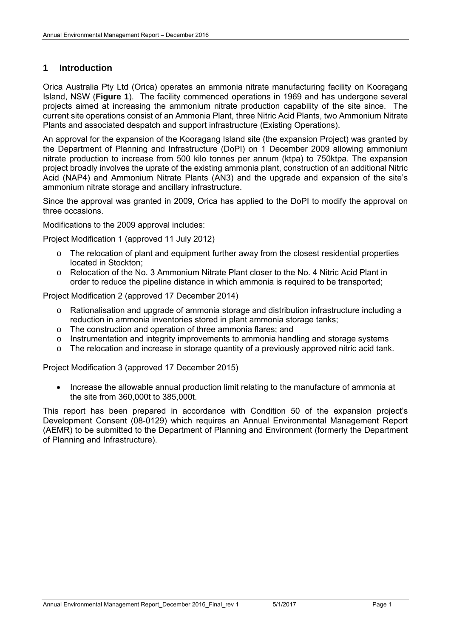#### **1 Introduction**

Orica Australia Pty Ltd (Orica) operates an ammonia nitrate manufacturing facility on Kooragang Island, NSW (**Figure 1**). The facility commenced operations in 1969 and has undergone several projects aimed at increasing the ammonium nitrate production capability of the site since. The current site operations consist of an Ammonia Plant, three Nitric Acid Plants, two Ammonium Nitrate Plants and associated despatch and support infrastructure (Existing Operations).

An approval for the expansion of the Kooragang Island site (the expansion Project) was granted by the Department of Planning and Infrastructure (DoPI) on 1 December 2009 allowing ammonium nitrate production to increase from 500 kilo tonnes per annum (ktpa) to 750ktpa. The expansion project broadly involves the uprate of the existing ammonia plant, construction of an additional Nitric Acid (NAP4) and Ammonium Nitrate Plants (AN3) and the upgrade and expansion of the site's ammonium nitrate storage and ancillary infrastructure.

Since the approval was granted in 2009, Orica has applied to the DoPI to modify the approval on three occasions.

Modifications to the 2009 approval includes:

Project Modification 1 (approved 11 July 2012)

- $\circ$  The relocation of plant and equipment further away from the closest residential properties located in Stockton;
- o Relocation of the No. 3 Ammonium Nitrate Plant closer to the No. 4 Nitric Acid Plant in order to reduce the pipeline distance in which ammonia is required to be transported;

Project Modification 2 (approved 17 December 2014)

- o Rationalisation and upgrade of ammonia storage and distribution infrastructure including a reduction in ammonia inventories stored in plant ammonia storage tanks;
- o The construction and operation of three ammonia flares; and
- o Instrumentation and integrity improvements to ammonia handling and storage systems
- o The relocation and increase in storage quantity of a previously approved nitric acid tank.

Project Modification 3 (approved 17 December 2015)

• Increase the allowable annual production limit relating to the manufacture of ammonia at the site from 360,000t to 385,000t.

This report has been prepared in accordance with Condition 50 of the expansion project's Development Consent (08-0129) which requires an Annual Environmental Management Report (AEMR) to be submitted to the Department of Planning and Environment (formerly the Department of Planning and Infrastructure).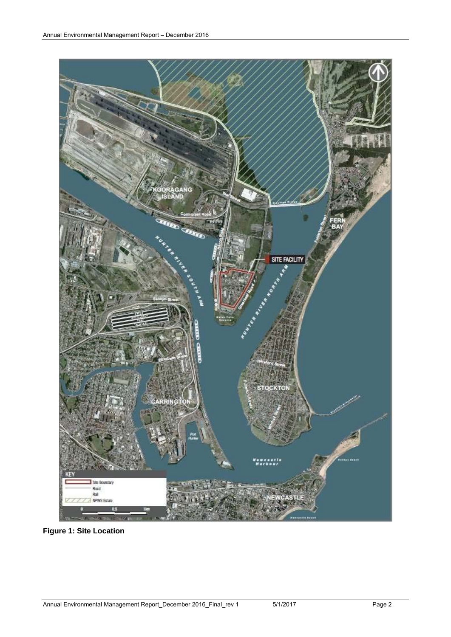

**Figure 1: Site Location**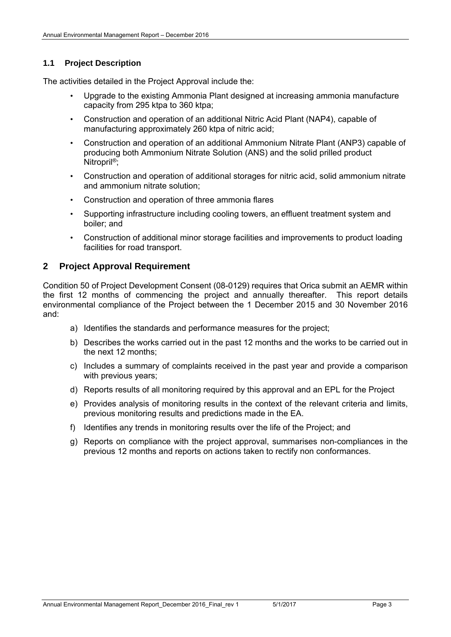#### **1.1 Project Description**

The activities detailed in the Project Approval include the:

- Upgrade to the existing Ammonia Plant designed at increasing ammonia manufacture capacity from 295 ktpa to 360 ktpa;
- Construction and operation of an additional Nitric Acid Plant (NAP4), capable of manufacturing approximately 260 ktpa of nitric acid;
- Construction and operation of an additional Ammonium Nitrate Plant (ANP3) capable of producing both Ammonium Nitrate Solution (ANS) and the solid prilled product Nitropril<sup>®</sup>:
- Construction and operation of additional storages for nitric acid, solid ammonium nitrate and ammonium nitrate solution;
- Construction and operation of three ammonia flares
- Supporting infrastructure including cooling towers, an effluent treatment system and boiler; and
- Construction of additional minor storage facilities and improvements to product loading facilities for road transport.

#### **2 Project Approval Requirement**

Condition 50 of Project Development Consent (08-0129) requires that Orica submit an AEMR within the first 12 months of commencing the project and annually thereafter. This report details environmental compliance of the Project between the 1 December 2015 and 30 November 2016 and:

- a) Identifies the standards and performance measures for the project;
- b) Describes the works carried out in the past 12 months and the works to be carried out in the next 12 months;
- c) Includes a summary of complaints received in the past year and provide a comparison with previous years;
- d) Reports results of all monitoring required by this approval and an EPL for the Project
- e) Provides analysis of monitoring results in the context of the relevant criteria and limits, previous monitoring results and predictions made in the EA.
- f) Identifies any trends in monitoring results over the life of the Project; and
- g) Reports on compliance with the project approval, summarises non-compliances in the previous 12 months and reports on actions taken to rectify non conformances.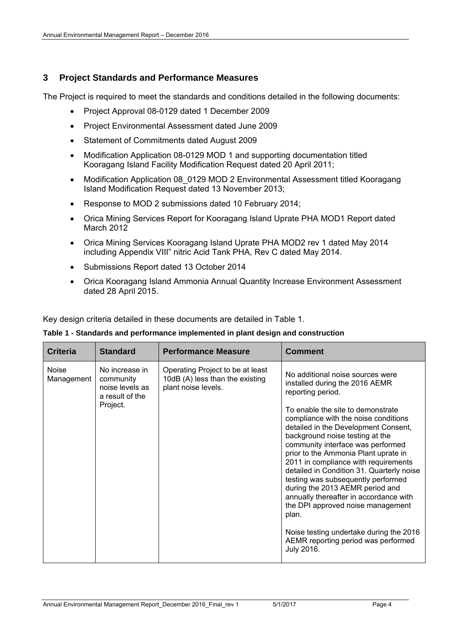#### **3 Project Standards and Performance Measures**

The Project is required to meet the standards and conditions detailed in the following documents:

- Project Approval 08-0129 dated 1 December 2009
- Project Environmental Assessment dated June 2009
- Statement of Commitments dated August 2009
- Modification Application 08-0129 MOD 1 and supporting documentation titled Kooragang Island Facility Modification Request dated 20 April 2011;
- Modification Application 08 0129 MOD 2 Environmental Assessment titled Kooragang Island Modification Request dated 13 November 2013;
- Response to MOD 2 submissions dated 10 February 2014;
- Orica Mining Services Report for Kooragang Island Uprate PHA MOD1 Report dated March 2012
- Orica Mining Services Kooragang Island Uprate PHA MOD2 rev 1 dated May 2014 including Appendix VIII" nitric Acid Tank PHA, Rev C dated May 2014.
- Submissions Report dated 13 October 2014
- Orica Kooragang Island Ammonia Annual Quantity Increase Environment Assessment dated 28 April 2015.

Key design criteria detailed in these documents are detailed in Table 1.

|  |  |  |  |  | Table 1 - Standards and performance implemented in plant design and construction |
|--|--|--|--|--|----------------------------------------------------------------------------------|
|--|--|--|--|--|----------------------------------------------------------------------------------|

| <b>Criteria</b>            | <b>Standard</b>                                                               | <b>Performance Measure</b>                                                                 | <b>Comment</b>                                                                                                                                                                                                                                                                                                                                                                                                                                                                                                                                                                                                                                                                     |
|----------------------------|-------------------------------------------------------------------------------|--------------------------------------------------------------------------------------------|------------------------------------------------------------------------------------------------------------------------------------------------------------------------------------------------------------------------------------------------------------------------------------------------------------------------------------------------------------------------------------------------------------------------------------------------------------------------------------------------------------------------------------------------------------------------------------------------------------------------------------------------------------------------------------|
| <b>Noise</b><br>Management | No increase in<br>community<br>noise levels as<br>a result of the<br>Project. | Operating Project to be at least<br>10dB (A) less than the existing<br>plant noise levels. | No additional noise sources were<br>installed during the 2016 AEMR<br>reporting period.<br>To enable the site to demonstrate<br>compliance with the noise conditions<br>detailed in the Development Consent,<br>background noise testing at the<br>community interface was performed<br>prior to the Ammonia Plant uprate in<br>2011 in compliance with requirements<br>detailed in Condition 31. Quarterly noise<br>testing was subsequently performed<br>during the 2013 AEMR period and<br>annually thereafter in accordance with<br>the DPI approved noise management<br>plan.<br>Noise testing undertake during the 2016<br>AEMR reporting period was performed<br>July 2016. |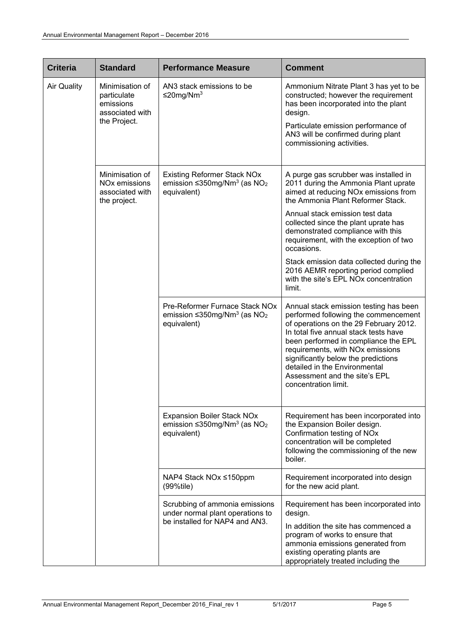| <b>Criteria</b>    | <b>Standard</b>                                                                 | <b>Performance Measure</b>                                                                                     | <b>Comment</b>                                                                                                                                                                                                                                                                                                                                                                 |
|--------------------|---------------------------------------------------------------------------------|----------------------------------------------------------------------------------------------------------------|--------------------------------------------------------------------------------------------------------------------------------------------------------------------------------------------------------------------------------------------------------------------------------------------------------------------------------------------------------------------------------|
| <b>Air Quality</b> | Minimisation of<br>particulate<br>emissions<br>associated with                  | AN3 stack emissions to be<br>≤20mg/Nm <sup>3</sup>                                                             | Ammonium Nitrate Plant 3 has yet to be<br>constructed; however the requirement<br>has been incorporated into the plant<br>design.                                                                                                                                                                                                                                              |
|                    | the Project.                                                                    |                                                                                                                | Particulate emission performance of<br>AN3 will be confirmed during plant<br>commissioning activities.                                                                                                                                                                                                                                                                         |
|                    | Minimisation of<br>NO <sub>x</sub> emissions<br>associated with<br>the project. | <b>Existing Reformer Stack NOx</b><br>emission $\leq$ 350mg/Nm <sup>3</sup> (as NO <sub>2</sub><br>equivalent) | A purge gas scrubber was installed in<br>2011 during the Ammonia Plant uprate<br>aimed at reducing NOx emissions from<br>the Ammonia Plant Reformer Stack.                                                                                                                                                                                                                     |
|                    |                                                                                 |                                                                                                                | Annual stack emission test data<br>collected since the plant uprate has<br>demonstrated compliance with this<br>requirement, with the exception of two<br>occasions.                                                                                                                                                                                                           |
|                    |                                                                                 |                                                                                                                | Stack emission data collected during the<br>2016 AEMR reporting period complied<br>with the site's EPL NOx concentration<br>limit.                                                                                                                                                                                                                                             |
|                    |                                                                                 | Pre-Reformer Furnace Stack NOx<br>emission $\leq$ 350mg/Nm <sup>3</sup> (as NO <sub>2</sub><br>equivalent)     | Annual stack emission testing has been<br>performed following the commencement<br>of operations on the 29 February 2012.<br>In total five annual stack tests have<br>been performed in compliance the EPL<br>requirements, with NOx emissions<br>significantly below the predictions<br>detailed in the Environmental<br>Assessment and the site's EPL<br>concentration limit. |
|                    |                                                                                 | <b>Expansion Boiler Stack NOx</b><br>emission $\leq$ 350mg/Nm <sup>3</sup> (as NO <sub>2</sub><br>equivalent)  | Requirement has been incorporated into<br>the Expansion Boiler design.<br>Confirmation testing of NOx<br>concentration will be completed<br>following the commissioning of the new<br>boiler.                                                                                                                                                                                  |
|                    |                                                                                 | NAP4 Stack NOx ≤150ppm<br>$(99\%$ tile)                                                                        | Requirement incorporated into design<br>for the new acid plant.                                                                                                                                                                                                                                                                                                                |
|                    |                                                                                 | Scrubbing of ammonia emissions<br>under normal plant operations to                                             | Requirement has been incorporated into<br>design.                                                                                                                                                                                                                                                                                                                              |
|                    |                                                                                 | be installed for NAP4 and AN3.                                                                                 | In addition the site has commenced a<br>program of works to ensure that<br>ammonia emissions generated from<br>existing operating plants are<br>appropriately treated including the                                                                                                                                                                                            |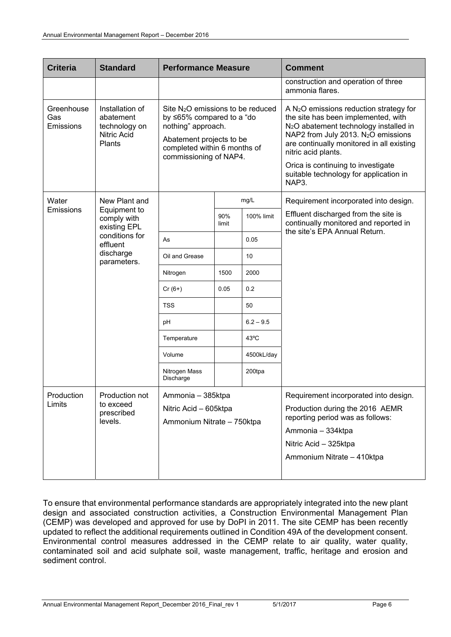| <b>Criteria</b>                | <b>Standard</b>                                                                                       | <b>Performance Measure</b>                                                                                                                                                             |              |             | <b>Comment</b>                                                                                                                                                                                                                                                                                                                                         |
|--------------------------------|-------------------------------------------------------------------------------------------------------|----------------------------------------------------------------------------------------------------------------------------------------------------------------------------------------|--------------|-------------|--------------------------------------------------------------------------------------------------------------------------------------------------------------------------------------------------------------------------------------------------------------------------------------------------------------------------------------------------------|
|                                |                                                                                                       |                                                                                                                                                                                        |              |             | construction and operation of three<br>ammonia flares.                                                                                                                                                                                                                                                                                                 |
| Greenhouse<br>Gas<br>Emissions | Installation of<br>abatement<br>technology on<br><b>Nitric Acid</b><br>Plants                         | Site N <sub>2</sub> O emissions to be reduced<br>by ≤65% compared to a "do<br>nothing" approach.<br>Abatement projects to be<br>completed within 6 months of<br>commissioning of NAP4. |              |             | A $N_2O$ emissions reduction strategy for<br>the site has been implemented, with<br>N <sub>2</sub> O abatement technology installed in<br>NAP2 from July 2013. N <sub>2</sub> O emissions<br>are continually monitored in all existing<br>nitric acid plants.<br>Orica is continuing to investigate<br>suitable technology for application in<br>NAP3. |
| Water                          | New Plant and                                                                                         |                                                                                                                                                                                        |              | mg/L        | Requirement incorporated into design.                                                                                                                                                                                                                                                                                                                  |
| Emissions                      | Equipment to<br>comply with<br>existing EPL<br>conditions for<br>effluent<br>discharge<br>parameters. |                                                                                                                                                                                        | 90%<br>limit | 100% limit  | Effluent discharged from the site is<br>continually monitored and reported in<br>the site's EPA Annual Return.                                                                                                                                                                                                                                         |
|                                |                                                                                                       | As                                                                                                                                                                                     |              | 0.05        |                                                                                                                                                                                                                                                                                                                                                        |
|                                |                                                                                                       | Oil and Grease                                                                                                                                                                         |              | 10          |                                                                                                                                                                                                                                                                                                                                                        |
|                                |                                                                                                       | Nitrogen                                                                                                                                                                               | 1500         | 2000        |                                                                                                                                                                                                                                                                                                                                                        |
|                                |                                                                                                       | $Cr(6+)$                                                                                                                                                                               | 0.05         | 0.2         |                                                                                                                                                                                                                                                                                                                                                        |
|                                |                                                                                                       | <b>TSS</b>                                                                                                                                                                             |              | 50          |                                                                                                                                                                                                                                                                                                                                                        |
|                                |                                                                                                       | рH                                                                                                                                                                                     |              | $6.2 - 9.5$ |                                                                                                                                                                                                                                                                                                                                                        |
|                                |                                                                                                       | Temperature                                                                                                                                                                            |              | 43°C        |                                                                                                                                                                                                                                                                                                                                                        |
|                                |                                                                                                       | Volume                                                                                                                                                                                 |              | 4500kL/day  |                                                                                                                                                                                                                                                                                                                                                        |
|                                |                                                                                                       | Nitrogen Mass<br>Discharge                                                                                                                                                             |              | 200tpa      |                                                                                                                                                                                                                                                                                                                                                        |
| Production                     | Production not                                                                                        | Ammonia - 385ktpa                                                                                                                                                                      |              |             | Requirement incorporated into design.                                                                                                                                                                                                                                                                                                                  |
| Limits                         | to exceed<br>prescribed<br>levels.                                                                    | Nitric Acid - 605ktpa<br>Ammonium Nitrate - 750ktpa                                                                                                                                    |              |             | Production during the 2016 AEMR<br>reporting period was as follows:                                                                                                                                                                                                                                                                                    |
|                                |                                                                                                       |                                                                                                                                                                                        |              |             | Ammonia - 334ktpa                                                                                                                                                                                                                                                                                                                                      |
|                                |                                                                                                       |                                                                                                                                                                                        |              |             | Nitric Acid - 325ktpa                                                                                                                                                                                                                                                                                                                                  |
|                                |                                                                                                       |                                                                                                                                                                                        |              |             | Ammonium Nitrate - 410ktpa                                                                                                                                                                                                                                                                                                                             |
|                                |                                                                                                       |                                                                                                                                                                                        |              |             |                                                                                                                                                                                                                                                                                                                                                        |

To ensure that environmental performance standards are appropriately integrated into the new plant design and associated construction activities, a Construction Environmental Management Plan (CEMP) was developed and approved for use by DoPI in 2011. The site CEMP has been recently updated to reflect the additional requirements outlined in Condition 49A of the development consent. Environmental control measures addressed in the CEMP relate to air quality, water quality, contaminated soil and acid sulphate soil, waste management, traffic, heritage and erosion and sediment control.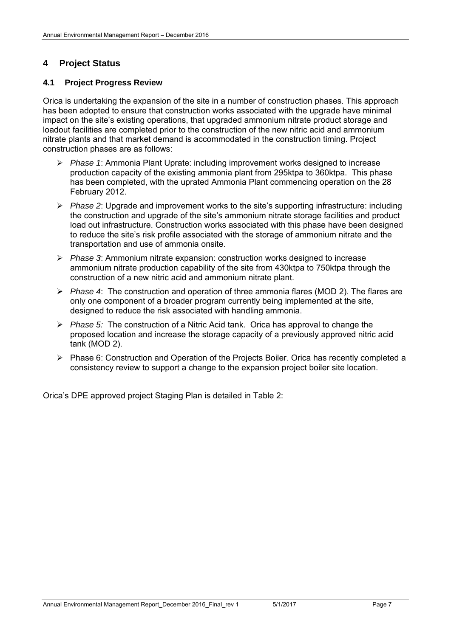#### **4 Project Status**

#### **4.1 Project Progress Review**

Orica is undertaking the expansion of the site in a number of construction phases. This approach has been adopted to ensure that construction works associated with the upgrade have minimal impact on the site's existing operations, that upgraded ammonium nitrate product storage and loadout facilities are completed prior to the construction of the new nitric acid and ammonium nitrate plants and that market demand is accommodated in the construction timing. Project construction phases are as follows:

- *Phase 1*: Ammonia Plant Uprate: including improvement works designed to increase production capacity of the existing ammonia plant from 295ktpa to 360ktpa. This phase has been completed, with the uprated Ammonia Plant commencing operation on the 28 February 2012.
- *Phase 2*: Upgrade and improvement works to the site's supporting infrastructure: including the construction and upgrade of the site's ammonium nitrate storage facilities and product load out infrastructure. Construction works associated with this phase have been designed to reduce the site's risk profile associated with the storage of ammonium nitrate and the transportation and use of ammonia onsite.
- *Phase 3*: Ammonium nitrate expansion: construction works designed to increase ammonium nitrate production capability of the site from 430ktpa to 750ktpa through the construction of a new nitric acid and ammonium nitrate plant.
- *Phase 4*: The construction and operation of three ammonia flares (MOD 2). The flares are only one component of a broader program currently being implemented at the site, designed to reduce the risk associated with handling ammonia.
- *Phase 5:* The construction of a Nitric Acid tank. Orica has approval to change the proposed location and increase the storage capacity of a previously approved nitric acid tank (MOD 2).
- Phase 6: Construction and Operation of the Projects Boiler. Orica has recently completed a consistency review to support a change to the expansion project boiler site location.

Orica's DPE approved project Staging Plan is detailed in Table 2: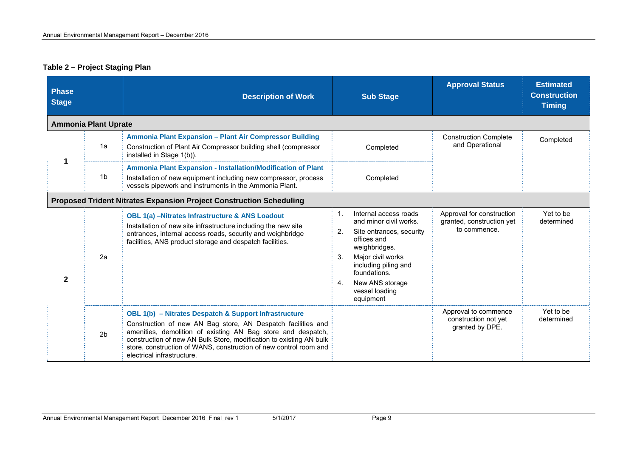#### **Table 2 – Project Staging Plan**

| <b>Phase</b><br><b>Stage</b> |                             | <b>Description of Work</b>                                                                                                                                                                                                                                                                                                                                             | <b>Sub Stage</b>                                                                                                                                                                                                                                               | <b>Approval Status</b>                                                 | <b>Estimated</b><br><b>Construction</b><br><b>Timing</b> |
|------------------------------|-----------------------------|------------------------------------------------------------------------------------------------------------------------------------------------------------------------------------------------------------------------------------------------------------------------------------------------------------------------------------------------------------------------|----------------------------------------------------------------------------------------------------------------------------------------------------------------------------------------------------------------------------------------------------------------|------------------------------------------------------------------------|----------------------------------------------------------|
|                              | <b>Ammonia Plant Uprate</b> |                                                                                                                                                                                                                                                                                                                                                                        |                                                                                                                                                                                                                                                                |                                                                        |                                                          |
|                              | 1a                          | Ammonia Plant Expansion - Plant Air Compressor Building<br>Construction of Plant Air Compressor building shell (compressor<br>installed in Stage 1(b)).                                                                                                                                                                                                                | Completed                                                                                                                                                                                                                                                      | <b>Construction Complete</b><br>and Operational                        | Completed                                                |
| 1                            | 1b                          | <b>Ammonia Plant Expansion - Installation/Modification of Plant</b><br>Installation of new equipment including new compressor, process<br>vessels pipework and instruments in the Ammonia Plant.                                                                                                                                                                       | Completed                                                                                                                                                                                                                                                      |                                                                        |                                                          |
|                              |                             | <b>Proposed Trident Nitrates Expansion Project Construction Scheduling</b>                                                                                                                                                                                                                                                                                             |                                                                                                                                                                                                                                                                |                                                                        |                                                          |
| $\mathbf{2}$                 | 2a                          | <b>OBL 1(a) -Nitrates Infrastructure &amp; ANS Loadout</b><br>Installation of new site infrastructure including the new site<br>entrances, internal access roads, security and weighbridge<br>facilities, ANS product storage and despatch facilities.                                                                                                                 | Internal access roads<br>$\mathbf{1}$ .<br>and minor civil works.<br>2.<br>Site entrances, security<br>offices and<br>weighbridges.<br>3.<br>Major civil works<br>including piling and<br>foundations.<br>New ANS storage<br>4.<br>vessel loading<br>equipment | Approval for construction<br>granted, construction yet<br>to commence. | Yet to be<br>determined                                  |
|                              | 2 <sub>b</sub>              | <b>OBL 1(b)</b> - Nitrates Despatch & Support Infrastructure<br>Construction of new AN Bag store, AN Despatch facilities and<br>amenities, demolition of existing AN Bag store and despatch,<br>construction of new AN Bulk Store, modification to existing AN bulk<br>store, construction of WANS, construction of new control room and<br>electrical infrastructure. |                                                                                                                                                                                                                                                                | Approval to commence<br>construction not yet<br>granted by DPE.        | Yet to be<br>determined                                  |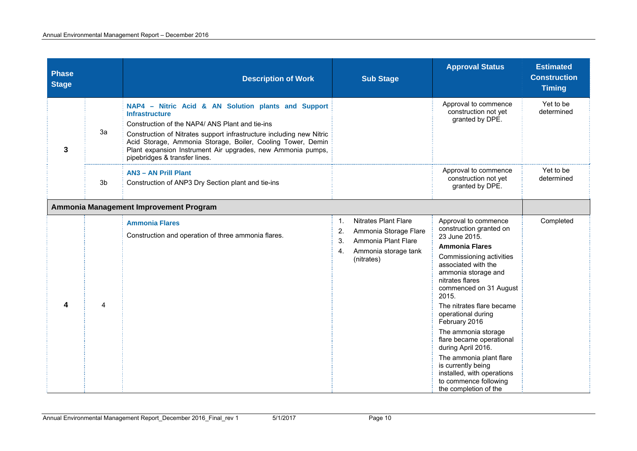| <b>Phase</b><br><b>Stage</b> |    | <b>Description of Work</b>                                                                                                                                                                                                                                                                                                                                             | <b>Sub Stage</b>                                                                                                                          | <b>Approval Status</b>                                                                                                                                                                                                                                                                                                                                                                                                                                                                                  | <b>Estimated</b><br><b>Construction</b><br><b>Timing</b> |
|------------------------------|----|------------------------------------------------------------------------------------------------------------------------------------------------------------------------------------------------------------------------------------------------------------------------------------------------------------------------------------------------------------------------|-------------------------------------------------------------------------------------------------------------------------------------------|---------------------------------------------------------------------------------------------------------------------------------------------------------------------------------------------------------------------------------------------------------------------------------------------------------------------------------------------------------------------------------------------------------------------------------------------------------------------------------------------------------|----------------------------------------------------------|
| 3                            | 3a | NAP4 - Nitric Acid & AN Solution plants and Support<br><b>Infrastructure</b><br>Construction of the NAP4/ ANS Plant and tie-ins<br>Construction of Nitrates support infrastructure including new Nitric<br>Acid Storage, Ammonia Storage, Boiler, Cooling Tower, Demin<br>Plant expansion Instrument Air upgrades, new Ammonia pumps,<br>pipebridges & transfer lines. |                                                                                                                                           | Approval to commence<br>construction not yet<br>granted by DPE.                                                                                                                                                                                                                                                                                                                                                                                                                                         | Yet to be<br>determined                                  |
|                              | 3b | <b>AN3 - AN Prill Plant</b><br>Construction of ANP3 Dry Section plant and tie-ins                                                                                                                                                                                                                                                                                      |                                                                                                                                           | Approval to commence<br>construction not yet<br>granted by DPE.                                                                                                                                                                                                                                                                                                                                                                                                                                         | Yet to be<br>determined                                  |
|                              |    | Ammonia Management Improvement Program                                                                                                                                                                                                                                                                                                                                 |                                                                                                                                           |                                                                                                                                                                                                                                                                                                                                                                                                                                                                                                         |                                                          |
| 4                            | 4  | <b>Ammonia Flares</b><br>Construction and operation of three ammonia flares.                                                                                                                                                                                                                                                                                           | <b>Nitrates Plant Flare</b><br>1.<br>Ammonia Storage Flare<br>2.<br>Ammonia Plant Flare<br>3.<br>Ammonia storage tank<br>4.<br>(nitrates) | Approval to commence<br>construction granted on<br>23 June 2015.<br><b>Ammonia Flares</b><br>Commissioning activities<br>associated with the<br>ammonia storage and<br>nitrates flares<br>commenced on 31 August<br>2015.<br>The nitrates flare became<br>operational during<br>February 2016<br>The ammonia storage<br>flare became operational<br>during April 2016.<br>The ammonia plant flare<br>is currently being<br>installed, with operations<br>to commence following<br>the completion of the | Completed                                                |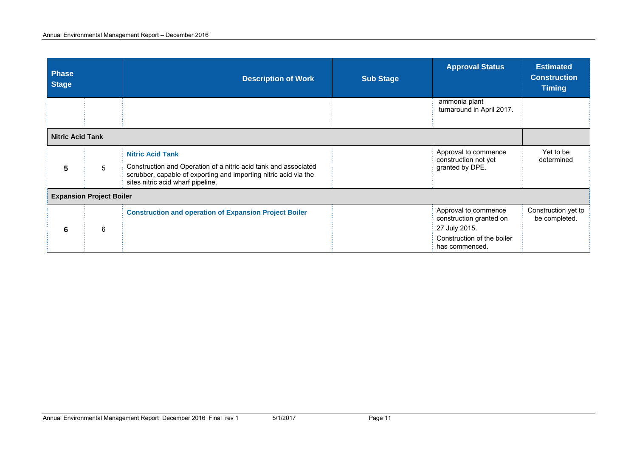| <b>Phase</b><br><b>Stage</b> |                                 | <b>Description of Work</b>                                                                                                                                               | <b>Sub Stage</b> | <b>Approval Status</b>                          | <b>Estimated</b><br><b>Construction</b><br><b>Timing</b> |
|------------------------------|---------------------------------|--------------------------------------------------------------------------------------------------------------------------------------------------------------------------|------------------|-------------------------------------------------|----------------------------------------------------------|
|                              |                                 |                                                                                                                                                                          |                  | ammonia plant<br>turnaround in April 2017.      |                                                          |
| <b>Nitric Acid Tank</b>      |                                 |                                                                                                                                                                          |                  |                                                 |                                                          |
|                              |                                 | <b>Nitric Acid Tank</b>                                                                                                                                                  |                  | Approval to commence<br>construction not yet    | Yet to be<br>determined                                  |
| 5                            | 5                               | Construction and Operation of a nitric acid tank and associated<br>scrubber, capable of exporting and importing nitric acid via the<br>sites nitric acid wharf pipeline. |                  | granted by DPE.                                 |                                                          |
|                              | <b>Expansion Project Boiler</b> |                                                                                                                                                                          |                  |                                                 |                                                          |
|                              |                                 | <b>Construction and operation of Expansion Project Boiler</b>                                                                                                            |                  | Approval to commence<br>construction granted on | Construction yet to<br>be completed.                     |
| 6                            | 6                               |                                                                                                                                                                          |                  | 27 July 2015.                                   |                                                          |
|                              |                                 |                                                                                                                                                                          |                  | Construction of the boiler<br>has commenced.    |                                                          |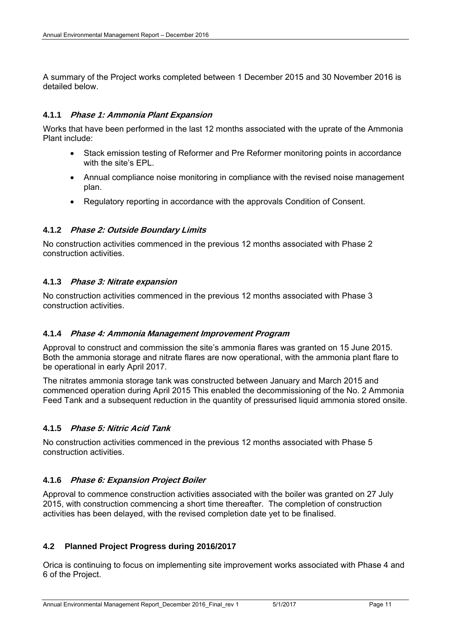A summary of the Project works completed between 1 December 2015 and 30 November 2016 is detailed below.

#### **4.1.1 Phase 1: Ammonia Plant Expansion**

Works that have been performed in the last 12 months associated with the uprate of the Ammonia Plant include:

- Stack emission testing of Reformer and Pre Reformer monitoring points in accordance with the site's EPL.
- Annual compliance noise monitoring in compliance with the revised noise management plan.
- Regulatory reporting in accordance with the approvals Condition of Consent.

#### **4.1.2 Phase 2: Outside Boundary Limits**

No construction activities commenced in the previous 12 months associated with Phase 2 construction activities.

#### **4.1.3 Phase 3: Nitrate expansion**

No construction activities commenced in the previous 12 months associated with Phase 3 construction activities.

#### **4.1.4 Phase 4: Ammonia Management Improvement Program**

Approval to construct and commission the site's ammonia flares was granted on 15 June 2015. Both the ammonia storage and nitrate flares are now operational, with the ammonia plant flare to be operational in early April 2017.

The nitrates ammonia storage tank was constructed between January and March 2015 and commenced operation during April 2015 This enabled the decommissioning of the No. 2 Ammonia Feed Tank and a subsequent reduction in the quantity of pressurised liquid ammonia stored onsite.

#### **4.1.5 Phase 5: Nitric Acid Tank**

No construction activities commenced in the previous 12 months associated with Phase 5 construction activities.

#### **4.1.6 Phase 6: Expansion Project Boiler**

Approval to commence construction activities associated with the boiler was granted on 27 July 2015, with construction commencing a short time thereafter. The completion of construction activities has been delayed, with the revised completion date yet to be finalised.

#### **4.2 Planned Project Progress during 2016/2017**

Orica is continuing to focus on implementing site improvement works associated with Phase 4 and 6 of the Project.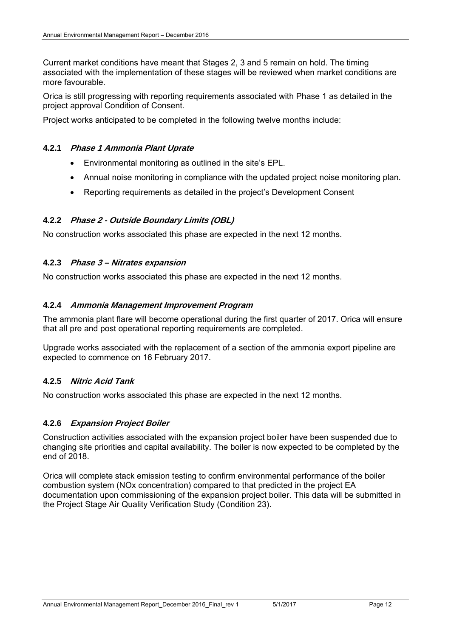Current market conditions have meant that Stages 2, 3 and 5 remain on hold. The timing associated with the implementation of these stages will be reviewed when market conditions are more favourable.

Orica is still progressing with reporting requirements associated with Phase 1 as detailed in the project approval Condition of Consent.

Project works anticipated to be completed in the following twelve months include:

#### **4.2.1 Phase 1 Ammonia Plant Uprate**

- Environmental monitoring as outlined in the site's EPL.
- Annual noise monitoring in compliance with the updated project noise monitoring plan.
- Reporting requirements as detailed in the project's Development Consent

#### **4.2.2 Phase 2 - Outside Boundary Limits (OBL)**

No construction works associated this phase are expected in the next 12 months.

#### **4.2.3 Phase 3 – Nitrates expansion**

No construction works associated this phase are expected in the next 12 months.

#### **4.2.4 Ammonia Management Improvement Program**

The ammonia plant flare will become operational during the first quarter of 2017. Orica will ensure that all pre and post operational reporting requirements are completed.

Upgrade works associated with the replacement of a section of the ammonia export pipeline are expected to commence on 16 February 2017.

#### **4.2.5 Nitric Acid Tank**

No construction works associated this phase are expected in the next 12 months.

#### **4.2.6 Expansion Project Boiler**

Construction activities associated with the expansion project boiler have been suspended due to changing site priorities and capital availability. The boiler is now expected to be completed by the end of 2018.

Orica will complete stack emission testing to confirm environmental performance of the boiler combustion system (NOx concentration) compared to that predicted in the project EA documentation upon commissioning of the expansion project boiler. This data will be submitted in the Project Stage Air Quality Verification Study (Condition 23).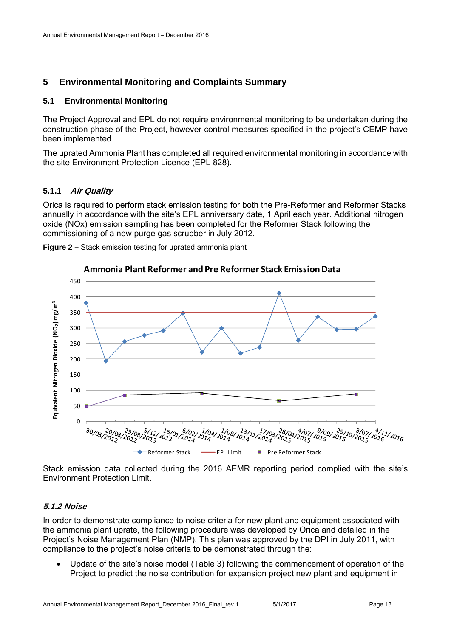#### **5 Environmental Monitoring and Complaints Summary**

#### **5.1 Environmental Monitoring**

The Project Approval and EPL do not require environmental monitoring to be undertaken during the construction phase of the Project, however control measures specified in the project's CEMP have been implemented.

The uprated Ammonia Plant has completed all required environmental monitoring in accordance with the site Environment Protection Licence (EPL 828).

#### **5.1.1 Air Quality**

Orica is required to perform stack emission testing for both the Pre-Reformer and Reformer Stacks annually in accordance with the site's EPL anniversary date, 1 April each year. Additional nitrogen oxide (NOx) emission sampling has been completed for the Reformer Stack following the commissioning of a new purge gas scrubber in July 2012.





Stack emission data collected during the 2016 AEMR reporting period complied with the site's Environment Protection Limit.

#### **5.1.2 Noise**

In order to demonstrate compliance to noise criteria for new plant and equipment associated with the ammonia plant uprate, the following procedure was developed by Orica and detailed in the Project's Noise Management Plan (NMP). This plan was approved by the DPI in July 2011, with compliance to the project's noise criteria to be demonstrated through the:

 Update of the site's noise model (Table 3) following the commencement of operation of the Project to predict the noise contribution for expansion project new plant and equipment in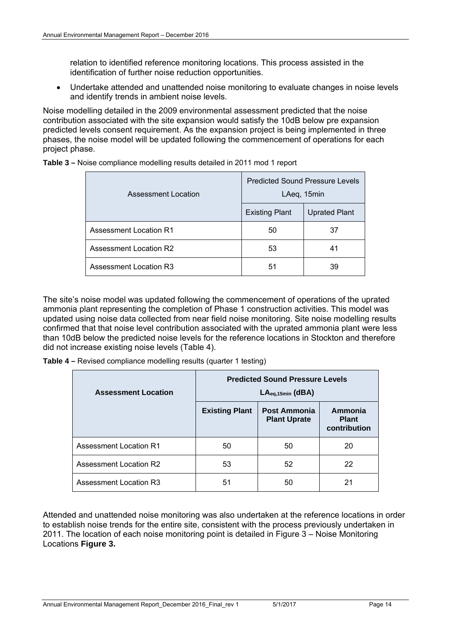relation to identified reference monitoring locations. This process assisted in the identification of further noise reduction opportunities.

 Undertake attended and unattended noise monitoring to evaluate changes in noise levels and identify trends in ambient noise levels.

Noise modelling detailed in the 2009 environmental assessment predicted that the noise contribution associated with the site expansion would satisfy the 10dB below pre expansion predicted levels consent requirement. As the expansion project is being implemented in three phases, the noise model will be updated following the commencement of operations for each project phase.

| Assessment Location           | <b>Predicted Sound Pressure Levels</b><br>LAeq, 15min |                      |  |
|-------------------------------|-------------------------------------------------------|----------------------|--|
|                               | <b>Existing Plant</b>                                 | <b>Uprated Plant</b> |  |
| <b>Assessment Location R1</b> | 50                                                    | 37                   |  |
| <b>Assessment Location R2</b> | 53                                                    | 41                   |  |
| <b>Assessment Location R3</b> | 51                                                    | 39                   |  |

**Table 3 –** Noise compliance modelling results detailed in 2011 mod 1 report

The site's noise model was updated following the commencement of operations of the uprated ammonia plant representing the completion of Phase 1 construction activities. This model was updated using noise data collected from near field noise monitoring. Site noise modelling results confirmed that that noise level contribution associated with the uprated ammonia plant were less than 10dB below the predicted noise levels for the reference locations in Stockton and therefore did not increase existing noise levels (Table 4).

**Table 4 –** Revised compliance modelling results (quarter 1 testing)

| <b>Assessment Location</b> | <b>Predicted Sound Pressure Levels</b><br>$LAeq,15min$ (dBA) |                                            |                                         |  |  |
|----------------------------|--------------------------------------------------------------|--------------------------------------------|-----------------------------------------|--|--|
|                            | <b>Existing Plant</b>                                        | <b>Post Ammonia</b><br><b>Plant Uprate</b> | Ammonia<br><b>Plant</b><br>contribution |  |  |
| Assessment Location R1     | 50                                                           | 50                                         | 20                                      |  |  |
| Assessment Location R2     | 53                                                           | 52                                         | 22                                      |  |  |
| Assessment Location R3     | 51                                                           | 50                                         | 21                                      |  |  |

Attended and unattended noise monitoring was also undertaken at the reference locations in order to establish noise trends for the entire site, consistent with the process previously undertaken in 2011. The location of each noise monitoring point is detailed in Figure 3 – Noise Monitoring Locations **Figure 3.**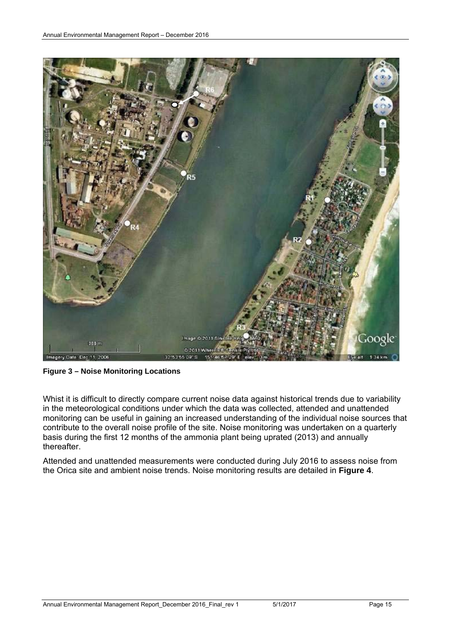

**Figure 3 – Noise Monitoring Locations** 

Whist it is difficult to directly compare current noise data against historical trends due to variability in the meteorological conditions under which the data was collected, attended and unattended monitoring can be useful in gaining an increased understanding of the individual noise sources that contribute to the overall noise profile of the site. Noise monitoring was undertaken on a quarterly basis during the first 12 months of the ammonia plant being uprated (2013) and annually thereafter.

Attended and unattended measurements were conducted during July 2016 to assess noise from the Orica site and ambient noise trends. Noise monitoring results are detailed in **Figure 4**.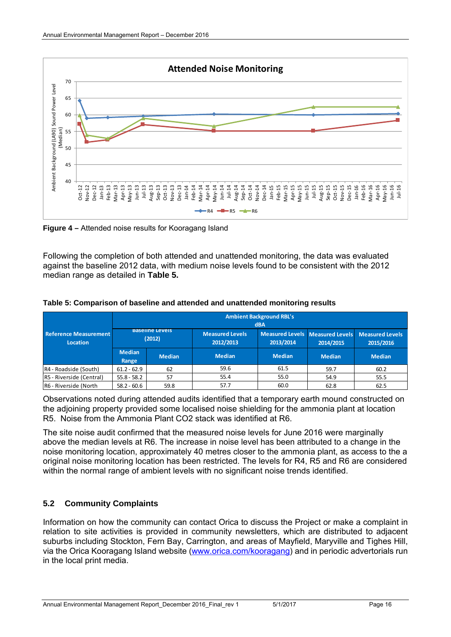

**Figure 4 –** Attended noise results for Kooragang Island

Following the completion of both attended and unattended monitoring, the data was evaluated against the baseline 2012 data, with medium noise levels found to be consistent with the 2012 median range as detailed in **Table 5.** 

|                                          | <b>Ambient Background RBL's</b><br>dBA |               |                                                                                     |               |                                                  |               |  |
|------------------------------------------|----------------------------------------|---------------|-------------------------------------------------------------------------------------|---------------|--------------------------------------------------|---------------|--|
| <b>Reference Measurement</b><br>Location | <b>Baseline Levels</b><br>(2012)       |               | Measured Levels Measured Levels<br><b>Measured Levels</b><br>2012/2013<br>2013/2014 |               | <b>Measured Levels</b><br>2015/2016<br>2014/2015 |               |  |
|                                          | <b>Median</b><br>Range                 | <b>Median</b> | <b>Median</b>                                                                       | <b>Median</b> | <b>Median</b>                                    | <b>Median</b> |  |
| R4 - Roadside (South)                    | $61.2 - 62.9$                          | 62            | 59.6                                                                                | 61.5          | 59.7                                             | 60.2          |  |
| R5 - Riverside (Central)                 | $55.8 - 58.2$                          | 57            | 55.4                                                                                | 55.0          | 54.9                                             | 55.5          |  |
| R6 - Riverside (North                    | $58.2 - 60.6$                          | 59.8          | 57.7                                                                                | 60.0          | 62.8                                             | 62.5          |  |

**Table 5: Comparison of baseline and attended and unattended monitoring results** 

Observations noted during attended audits identified that a temporary earth mound constructed on the adjoining property provided some localised noise shielding for the ammonia plant at location R5. Noise from the Ammonia Plant CO2 stack was identified at R6.

The site noise audit confirmed that the measured noise levels for June 2016 were marginally above the median levels at R6. The increase in noise level has been attributed to a change in the noise monitoring location, approximately 40 metres closer to the ammonia plant, as access to the a original noise monitoring location has been restricted. The levels for R4, R5 and R6 are considered within the normal range of ambient levels with no significant noise trends identified.

#### **5.2 Community Complaints**

Information on how the community can contact Orica to discuss the Project or make a complaint in relation to site activities is provided in community newsletters, which are distributed to adjacent suburbs including Stockton, Fern Bay, Carrington, and areas of Mayfield, Maryville and Tighes Hill, via the Orica Kooragang Island website (www.orica.com/kooragang) and in periodic advertorials run in the local print media.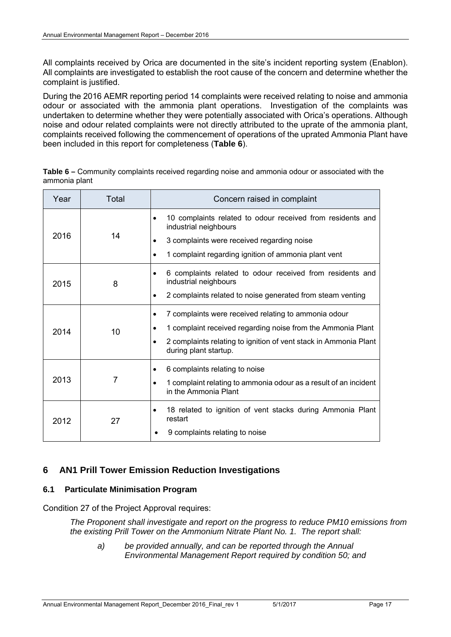All complaints received by Orica are documented in the site's incident reporting system (Enablon). All complaints are investigated to establish the root cause of the concern and determine whether the complaint is justified.

During the 2016 AEMR reporting period 14 complaints were received relating to noise and ammonia odour or associated with the ammonia plant operations. Investigation of the complaints was undertaken to determine whether they were potentially associated with Orica's operations. Although noise and odour related complaints were not directly attributed to the uprate of the ammonia plant, complaints received following the commencement of operations of the uprated Ammonia Plant have been included in this report for completeness (**Table 6**).

| Year | Total | Concern raised in complaint                                                                                                                                                                                                |
|------|-------|----------------------------------------------------------------------------------------------------------------------------------------------------------------------------------------------------------------------------|
| 2016 | 14    | 10 complaints related to odour received from residents and<br>٠<br>industrial neighbours<br>3 complaints were received regarding noise<br>1 complaint regarding ignition of ammonia plant vent                             |
| 2015 | 8     | 6 complaints related to odour received from residents and<br>$\bullet$<br>industrial neighbours<br>2 complaints related to noise generated from steam venting<br>٠                                                         |
| 2014 | 10    | 7 complaints were received relating to ammonia odour<br>٠<br>1 complaint received regarding noise from the Ammonia Plant<br>٠<br>2 complaints relating to ignition of vent stack in Ammonia Plant<br>during plant startup. |
| 2013 | 7     | 6 complaints relating to noise<br>٠<br>1 complaint relating to ammonia odour as a result of an incident<br>in the Ammonia Plant                                                                                            |
| 2012 | 27    | 18 related to ignition of vent stacks during Ammonia Plant<br>٠<br>restart<br>9 complaints relating to noise                                                                                                               |

**Table 6 –** Community complaints received regarding noise and ammonia odour or associated with the ammonia plant

#### **6 AN1 Prill Tower Emission Reduction Investigations**

#### **6.1 Particulate Minimisation Program**

Condition 27 of the Project Approval requires:

*The Proponent shall investigate and report on the progress to reduce PM10 emissions from the existing Prill Tower on the Ammonium Nitrate Plant No. 1. The report shall:* 

*a) be provided annually, and can be reported through the Annual Environmental Management Report required by condition 50; and*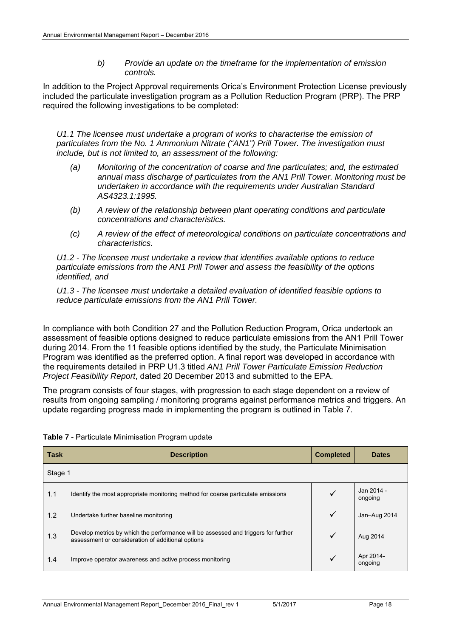*b) Provide an update on the timeframe for the implementation of emission controls.* 

In addition to the Project Approval requirements Orica's Environment Protection License previously included the particulate investigation program as a Pollution Reduction Program (PRP). The PRP required the following investigations to be completed:

*U1.1 The licensee must undertake a program of works to characterise the emission of particulates from the No. 1 Ammonium Nitrate ("AN1") Prill Tower. The investigation must include, but is not limited to, an assessment of the following:* 

- *(a) Monitoring of the concentration of coarse and fine particulates; and, the estimated annual mass discharge of particulates from the AN1 Prill Tower. Monitoring must be undertaken in accordance with the requirements under Australian Standard AS4323.1:1995.*
- *(b) A review of the relationship between plant operating conditions and particulate concentrations and characteristics.*
- *(c) A review of the effect of meteorological conditions on particulate concentrations and characteristics.*

*U1.2 - The licensee must undertake a review that identifies available options to reduce particulate emissions from the AN1 Prill Tower and assess the feasibility of the options identified, and* 

*U1.3 - The licensee must undertake a detailed evaluation of identified feasible options to reduce particulate emissions from the AN1 Prill Tower.* 

In compliance with both Condition 27 and the Pollution Reduction Program, Orica undertook an assessment of feasible options designed to reduce particulate emissions from the AN1 Prill Tower during 2014. From the 11 feasible options identified by the study, the Particulate Minimisation Program was identified as the preferred option. A final report was developed in accordance with the requirements detailed in PRP U1.3 titled *AN1 Prill Tower Particulate Emission Reduction Project Feasibility Report*, dated 20 December 2013 and submitted to the EPA.

The program consists of four stages, with progression to each stage dependent on a review of results from ongoing sampling / monitoring programs against performance metrics and triggers. An update regarding progress made in implementing the program is outlined in Table 7.

| <b>Task</b> | <b>Description</b>                                                                                                                      | <b>Completed</b> | <b>Dates</b>          |
|-------------|-----------------------------------------------------------------------------------------------------------------------------------------|------------------|-----------------------|
| Stage 1     |                                                                                                                                         |                  |                       |
| 1.1         | Identify the most appropriate monitoring method for coarse particulate emissions                                                        |                  | Jan 2014 -<br>ongoing |
| 1.2         | Undertake further baseline monitoring                                                                                                   | $\checkmark$     | Jan-Aug 2014          |
| 1.3         | Develop metrics by which the performance will be assessed and triggers for further<br>assessment or consideration of additional options |                  | Aug 2014              |
| 1.4         | Improve operator awareness and active process monitoring                                                                                |                  | Apr 2014-<br>ongoing  |

| Table 7 - Particulate Minimisation Program update |
|---------------------------------------------------|
|---------------------------------------------------|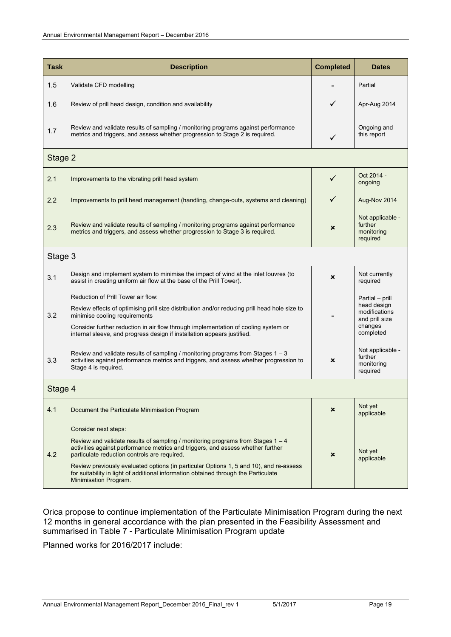| <b>Task</b> | <b>Description</b>                                                                                                                                                                                                                                                                                                                                                                                                                                     | <b>Completed</b>          | <b>Dates</b>                                                                              |  |  |  |  |
|-------------|--------------------------------------------------------------------------------------------------------------------------------------------------------------------------------------------------------------------------------------------------------------------------------------------------------------------------------------------------------------------------------------------------------------------------------------------------------|---------------------------|-------------------------------------------------------------------------------------------|--|--|--|--|
| 1.5         | Validate CFD modelling                                                                                                                                                                                                                                                                                                                                                                                                                                 |                           | Partial                                                                                   |  |  |  |  |
| 1.6         | Review of prill head design, condition and availability                                                                                                                                                                                                                                                                                                                                                                                                | ✓                         | Apr-Aug 2014                                                                              |  |  |  |  |
| 1.7         | Review and validate results of sampling / monitoring programs against performance<br>metrics and triggers, and assess whether progression to Stage 2 is required.                                                                                                                                                                                                                                                                                      | $\checkmark$              | Ongoing and<br>this report                                                                |  |  |  |  |
| Stage 2     |                                                                                                                                                                                                                                                                                                                                                                                                                                                        |                           |                                                                                           |  |  |  |  |
| 2.1         | Improvements to the vibrating prill head system                                                                                                                                                                                                                                                                                                                                                                                                        | $\checkmark$              | Oct 2014 -<br>ongoing                                                                     |  |  |  |  |
| 2.2         | Improvements to prill head management (handling, change-outs, systems and cleaning)                                                                                                                                                                                                                                                                                                                                                                    | ✓                         | Aug-Nov 2014                                                                              |  |  |  |  |
| 2.3         | Review and validate results of sampling / monitoring programs against performance<br>metrics and triggers, and assess whether progression to Stage 3 is required.                                                                                                                                                                                                                                                                                      | ×                         | Not applicable -<br>further<br>monitoring<br>required                                     |  |  |  |  |
|             | Stage 3                                                                                                                                                                                                                                                                                                                                                                                                                                                |                           |                                                                                           |  |  |  |  |
| 3.1         | Design and implement system to minimise the impact of wind at the inlet louvres (to<br>assist in creating uniform air flow at the base of the Prill Tower).                                                                                                                                                                                                                                                                                            | ×                         | Not currently<br>required                                                                 |  |  |  |  |
| 3.2         | Reduction of Prill Tower air flow:<br>Review effects of optimising prill size distribution and/or reducing prill head hole size to<br>minimise cooling requirements<br>Consider further reduction in air flow through implementation of cooling system or<br>internal sleeve, and progress design if installation appears justified.                                                                                                                   |                           | Partial – prill<br>head design<br>modifications<br>and prill size<br>changes<br>completed |  |  |  |  |
| 3.3         | Review and validate results of sampling / monitoring programs from Stages $1 - 3$<br>activities against performance metrics and triggers, and assess whether progression to<br>Stage 4 is required.                                                                                                                                                                                                                                                    | ×                         | Not applicable -<br>further<br>monitoring<br>required                                     |  |  |  |  |
|             | Stage 4                                                                                                                                                                                                                                                                                                                                                                                                                                                |                           |                                                                                           |  |  |  |  |
| 4.1         | Document the Particulate Minimisation Program                                                                                                                                                                                                                                                                                                                                                                                                          | ×                         | Not yet<br>applicable                                                                     |  |  |  |  |
| 4.2         | Consider next steps:<br>Review and validate results of sampling / monitoring programs from Stages $1 - 4$<br>activities against performance metrics and triggers, and assess whether further<br>particulate reduction controls are required.<br>Review previously evaluated options (in particular Options 1, 5 and 10), and re-assess<br>for suitability in light of additional information obtained through the Particulate<br>Minimisation Program. | $\boldsymbol{\mathsf{x}}$ | Not yet<br>applicable                                                                     |  |  |  |  |

Orica propose to continue implementation of the Particulate Minimisation Program during the next 12 months in general accordance with the plan presented in the Feasibility Assessment and summarised in Table 7 - Particulate Minimisation Program update

Planned works for 2016/2017 include: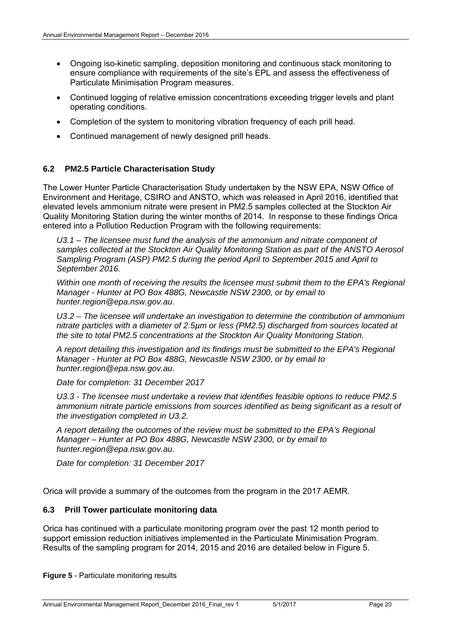- Ongoing iso-kinetic sampling, deposition monitoring and continuous stack monitoring to ensure compliance with requirements of the site's EPL and assess the effectiveness of Particulate Minimisation Program measures.
- Continued logging of relative emission concentrations exceeding trigger levels and plant operating conditions.
- Completion of the system to monitoring vibration frequency of each prill head.
- Continued management of newly designed prill heads.

#### **6.2 PM2.5 Particle Characterisation Study**

The Lower Hunter Particle Characterisation Study undertaken by the NSW EPA, NSW Office of Environment and Heritage, CSIRO and ANSTO, which was released in April 2016, identified that elevated levels ammonium nitrate were present in PM2.5 samples collected at the Stockton Air Quality Monitoring Station during the winter months of 2014. In response to these findings Orica entered into a Pollution Reduction Program with the following requirements:

U3.1 – The licensee must fund the analysis of the ammonium and nitrate component of *samples collected at the Stockton Air Quality Monitoring Station as part of the ANSTO Aerosol Sampling Program (ASP) PM2.5 during the period April to September 2015 and April to September 2016.* 

*Within one month of receiving the results the licensee must submit them to the EPA's Regional Manager - Hunter at PO Box 488G, Newcastle NSW 2300, or by email to hunter.region@epa.nsw.gov.au.* 

*U3.2 – The licensee will undertake an investigation to determine the contribution of ammonium nitrate particles with a diameter of 2.5µm or less (PM2.5) discharged from sources located at the site to total PM2.5 concentrations at the Stockton Air Quality Monitoring Station.* 

*A report detailing this investigation and its findings must be submitted to the EPA's Regional Manager - Hunter at PO Box 488G, Newcastle NSW 2300, or by email to hunter.region@epa.nsw.gov.au.* 

*Date for completion: 31 December 2017* 

*U3.3 - The licensee must undertake a review that identifies feasible options to reduce PM2.5 ammonium nitrate particle emissions from sources identified as being significant as a result of the investigation completed in U3.2.* 

*A report detailing the outcomes of the review must be submitted to the EPA's Regional Manager – Hunter at PO Box 488G, Newcastle NSW 2300, or by email to hunter.region@epa.nsw.gov.au.* 

*Date for completion: 31 December 2017* 

Orica will provide a summary of the outcomes from the program in the 2017 AEMR.

#### **6.3 Prill Tower particulate monitoring data**

Orica has continued with a particulate monitoring program over the past 12 month period to support emission reduction initiatives implemented in the Particulate Minimisation Program. Results of the sampling program for 2014, 2015 and 2016 are detailed below in Figure 5.

**Figure 5** - Particulate monitoring results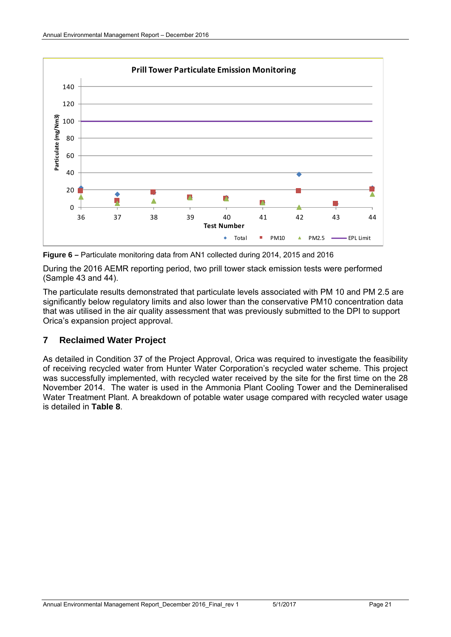

**Figure 6 –** Particulate monitoring data from AN1 collected during 2014, 2015 and 2016

During the 2016 AEMR reporting period, two prill tower stack emission tests were performed (Sample 43 and 44).

The particulate results demonstrated that particulate levels associated with PM 10 and PM 2.5 are significantly below regulatory limits and also lower than the conservative PM10 concentration data that was utilised in the air quality assessment that was previously submitted to the DPI to support Orica's expansion project approval.

#### **7 Reclaimed Water Project**

As detailed in Condition 37 of the Project Approval, Orica was required to investigate the feasibility of receiving recycled water from Hunter Water Corporation's recycled water scheme. This project was successfully implemented, with recycled water received by the site for the first time on the 28 November 2014. The water is used in the Ammonia Plant Cooling Tower and the Demineralised Water Treatment Plant. A breakdown of potable water usage compared with recycled water usage is detailed in **Table 8**.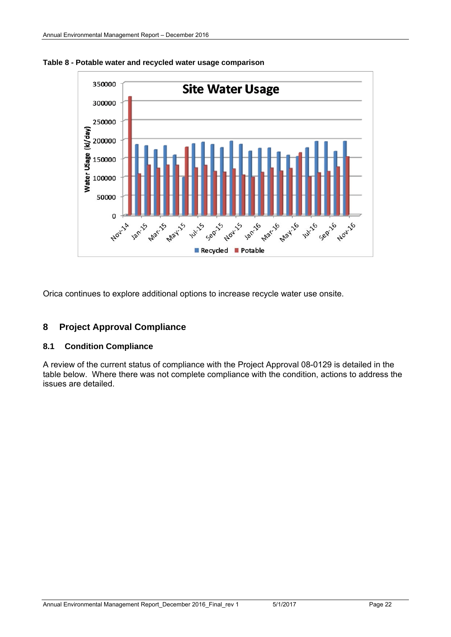

**Table 8 - Potable water and recycled water usage comparison** 

Orica continues to explore additional options to increase recycle water use onsite.

#### **8 Project Approval Compliance**

#### **8.1 Condition Compliance**

A review of the current status of compliance with the Project Approval 08-0129 is detailed in the table below. Where there was not complete compliance with the condition, actions to address the issues are detailed.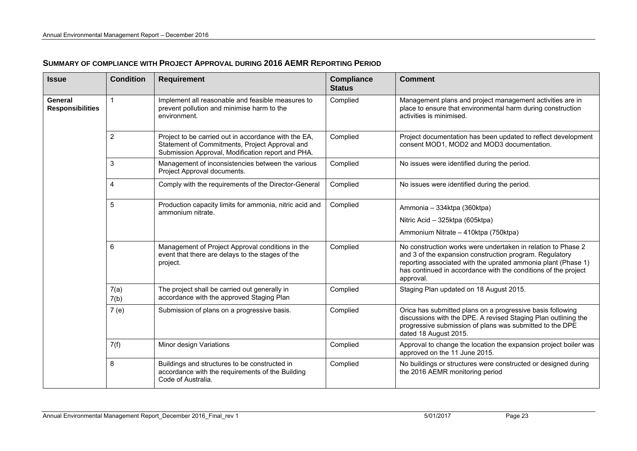| SUMMARY OF COMPLIANCE WITH PROJECT APPROVAL DURING 2016 AEMR REPORTING PERIOD |  |
|-------------------------------------------------------------------------------|--|
|-------------------------------------------------------------------------------|--|

| <b>Issue</b>                       | <b>Condition</b> | <b>Requirement</b>                                                                                                                                          | <b>Compliance</b><br><b>Status</b> | <b>Comment</b>                                                                                                                                                                                                                                                          |
|------------------------------------|------------------|-------------------------------------------------------------------------------------------------------------------------------------------------------------|------------------------------------|-------------------------------------------------------------------------------------------------------------------------------------------------------------------------------------------------------------------------------------------------------------------------|
| General<br><b>Responsibilities</b> | 1                | Implement all reasonable and feasible measures to<br>prevent pollution and minimise harm to the<br>environment.                                             | Complied                           | Management plans and project management activities are in<br>place to ensure that environmental harm during construction<br>activities is minimised.                                                                                                                    |
|                                    | 2                | Project to be carried out in accordance with the EA,<br>Statement of Commitments, Project Approval and<br>Submission Approval, Modification report and PHA. | Complied                           | Project documentation has been updated to reflect development<br>consent MOD1, MOD2 and MOD3 documentation.                                                                                                                                                             |
|                                    | 3                | Management of inconsistencies between the various<br>Project Approval documents.                                                                            | Complied                           | No issues were identified during the period.                                                                                                                                                                                                                            |
|                                    | 4                | Comply with the requirements of the Director-General                                                                                                        | Complied                           | No issues were identified during the period.                                                                                                                                                                                                                            |
|                                    | 5                | Production capacity limits for ammonia, nitric acid and<br>ammonium nitrate.                                                                                | Complied                           | Ammonia - 334ktpa (360ktpa)<br>Nitric Acid - 325ktpa (605ktpa)<br>Ammonium Nitrate - 410ktpa (750ktpa)                                                                                                                                                                  |
|                                    | 6                | Management of Project Approval conditions in the<br>event that there are delays to the stages of the<br>project.                                            | Complied                           | No construction works were undertaken in relation to Phase 2<br>and 3 of the expansion construction program. Regulatory<br>reporting associated with the uprated ammonia plant (Phase 1)<br>has continued in accordance with the conditions of the project<br>approval. |
|                                    | 7(a)<br>7(b)     | The project shall be carried out generally in<br>accordance with the approved Staging Plan                                                                  | Complied                           | Staging Plan updated on 18 August 2015.                                                                                                                                                                                                                                 |
|                                    | 7(e)             | Submission of plans on a progressive basis.                                                                                                                 | Complied                           | Orica has submitted plans on a progressive basis following<br>discussions with the DPE. A revised Staging Plan outlining the<br>progressive submission of plans was submitted to the DPE<br>dated 18 August 2015.                                                       |
|                                    | 7(f)             | Minor design Variations                                                                                                                                     | Complied                           | Approval to change the location the expansion project boiler was<br>approved on the 11 June 2015.                                                                                                                                                                       |
|                                    | 8                | Buildings and structures to be constructed in<br>accordance with the requirements of the Building<br>Code of Australia.                                     | Complied                           | No buildings or structures were constructed or designed during<br>the 2016 AEMR monitoring period                                                                                                                                                                       |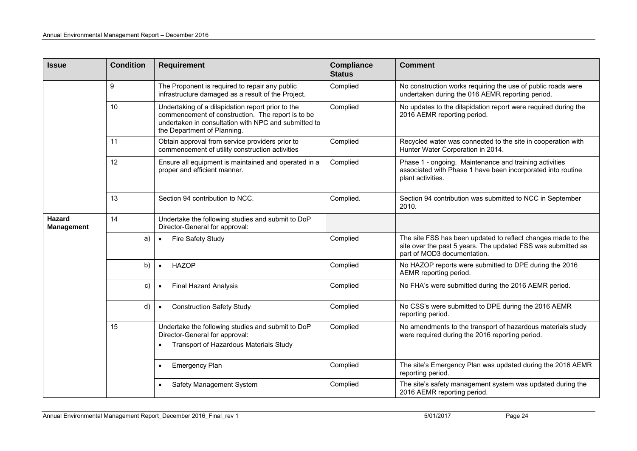| Issue                       | <b>Condition</b> | <b>Requirement</b>                                                                                                                                                                            | <b>Compliance</b><br><b>Status</b> | <b>Comment</b>                                                                                                                                              |
|-----------------------------|------------------|-----------------------------------------------------------------------------------------------------------------------------------------------------------------------------------------------|------------------------------------|-------------------------------------------------------------------------------------------------------------------------------------------------------------|
|                             | 9                | The Proponent is required to repair any public<br>infrastructure damaged as a result of the Project.                                                                                          | Complied                           | No construction works requiring the use of public roads were<br>undertaken during the 016 AEMR reporting period.                                            |
|                             | 10               | Undertaking of a dilapidation report prior to the<br>commencement of construction. The report is to be<br>undertaken in consultation with NPC and submitted to<br>the Department of Planning. | Complied                           | No updates to the dilapidation report were required during the<br>2016 AEMR reporting period.                                                               |
|                             | 11               | Obtain approval from service providers prior to<br>commencement of utility construction activities                                                                                            | Complied                           | Recycled water was connected to the site in cooperation with<br>Hunter Water Corporation in 2014.                                                           |
|                             | 12               | Ensure all equipment is maintained and operated in a<br>proper and efficient manner.                                                                                                          | Complied                           | Phase 1 - ongoing. Maintenance and training activities<br>associated with Phase 1 have been incorporated into routine<br>plant activities.                  |
|                             | 13               | Section 94 contribution to NCC.                                                                                                                                                               | Complied.                          | Section 94 contribution was submitted to NCC in September<br>2010.                                                                                          |
| Hazard<br><b>Management</b> | 14               | Undertake the following studies and submit to DoP<br>Director-General for approval:                                                                                                           |                                    |                                                                                                                                                             |
|                             | a)               | Fire Safety Study<br>$\bullet$                                                                                                                                                                | Complied                           | The site FSS has been updated to reflect changes made to the<br>site over the past 5 years. The updated FSS was submitted as<br>part of MOD3 documentation. |
|                             | b)               | <b>HAZOP</b><br>$\bullet$                                                                                                                                                                     | Complied                           | No HAZOP reports were submitted to DPE during the 2016<br>AEMR reporting period.                                                                            |
|                             | C)               | <b>Final Hazard Analysis</b>                                                                                                                                                                  | Complied                           | No FHA's were submitted during the 2016 AEMR period.                                                                                                        |
|                             | d)               | <b>Construction Safety Study</b><br>$\bullet$                                                                                                                                                 | Complied                           | No CSS's were submitted to DPE during the 2016 AEMR<br>reporting period.                                                                                    |
|                             | 15               | Undertake the following studies and submit to DoP<br>Director-General for approval:<br>Transport of Hazardous Materials Study                                                                 | Complied                           | No amendments to the transport of hazardous materials study<br>were required during the 2016 reporting period.                                              |
|                             |                  | Emergency Plan<br>$\bullet$                                                                                                                                                                   | Complied                           | The site's Emergency Plan was updated during the 2016 AEMR<br>reporting period.                                                                             |
|                             |                  | Safety Management System<br>$\bullet$                                                                                                                                                         | Complied                           | The site's safety management system was updated during the<br>2016 AEMR reporting period.                                                                   |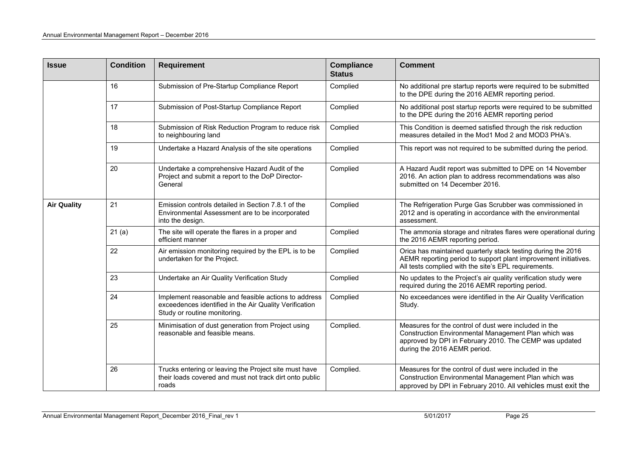| <b>Issue</b>       | <b>Condition</b> | <b>Requirement</b>                                                                                                                             | <b>Compliance</b><br><b>Status</b> | <b>Comment</b>                                                                                                                                                                                          |
|--------------------|------------------|------------------------------------------------------------------------------------------------------------------------------------------------|------------------------------------|---------------------------------------------------------------------------------------------------------------------------------------------------------------------------------------------------------|
|                    | 16               | Submission of Pre-Startup Compliance Report                                                                                                    | Complied                           | No additional pre startup reports were required to be submitted<br>to the DPE during the 2016 AEMR reporting period.                                                                                    |
|                    | 17               | Submission of Post-Startup Compliance Report                                                                                                   | Complied                           | No additional post startup reports were required to be submitted<br>to the DPE during the 2016 AEMR reporting period                                                                                    |
|                    | 18               | Submission of Risk Reduction Program to reduce risk<br>to neighbouring land                                                                    | Complied                           | This Condition is deemed satisfied through the risk reduction<br>measures detailed in the Mod1 Mod 2 and MOD3 PHA's.                                                                                    |
|                    | 19               | Undertake a Hazard Analysis of the site operations                                                                                             | Complied                           | This report was not required to be submitted during the period.                                                                                                                                         |
|                    | 20               | Undertake a comprehensive Hazard Audit of the<br>Project and submit a report to the DoP Director-<br>General                                   | Complied                           | A Hazard Audit report was submitted to DPE on 14 November<br>2016. An action plan to address recommendations was also<br>submitted on 14 December 2016.                                                 |
| <b>Air Quality</b> | 21               | Emission controls detailed in Section 7.8.1 of the<br>Environmental Assessment are to be incorporated<br>into the design.                      | Complied                           | The Refrigeration Purge Gas Scrubber was commissioned in<br>2012 and is operating in accordance with the environmental<br>assessment.                                                                   |
|                    | 21(a)            | The site will operate the flares in a proper and<br>efficient manner                                                                           | Complied                           | The ammonia storage and nitrates flares were operational during<br>the 2016 AEMR reporting period.                                                                                                      |
|                    | 22               | Air emission monitoring required by the EPL is to be<br>undertaken for the Project.                                                            | Complied                           | Orica has maintained quarterly stack testing during the 2016<br>AEMR reporting period to support plant improvement initiatives.<br>All tests complied with the site's EPL requirements.                 |
|                    | 23               | Undertake an Air Quality Verification Study                                                                                                    | Complied                           | No updates to the Project's air quality verification study were<br>required during the 2016 AEMR reporting period.                                                                                      |
|                    | 24               | Implement reasonable and feasible actions to address<br>exceedences identified in the Air Quality Verification<br>Study or routine monitoring. | Complied                           | No exceedances were identified in the Air Quality Verification<br>Study.                                                                                                                                |
|                    | 25               | Minimisation of dust generation from Project using<br>reasonable and feasible means.                                                           | Complied.                          | Measures for the control of dust were included in the<br>Construction Environmental Management Plan which was<br>approved by DPI in February 2010. The CEMP was updated<br>during the 2016 AEMR period. |
|                    | 26               | Trucks entering or leaving the Project site must have<br>their loads covered and must not track dirt onto public<br>roads                      | Complied.                          | Measures for the control of dust were included in the<br>Construction Environmental Management Plan which was<br>approved by DPI in February 2010. All vehicles must exit the                           |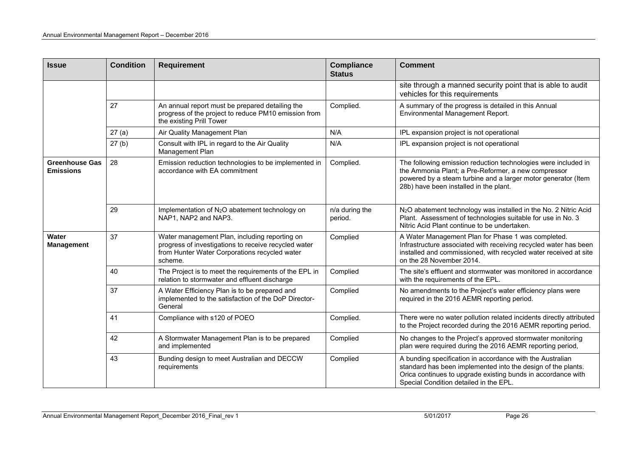| <b>Issue</b>                              | <b>Condition</b> | <b>Requirement</b>                                                                                                                                                | <b>Compliance</b><br><b>Status</b> | <b>Comment</b>                                                                                                                                                                                                                      |
|-------------------------------------------|------------------|-------------------------------------------------------------------------------------------------------------------------------------------------------------------|------------------------------------|-------------------------------------------------------------------------------------------------------------------------------------------------------------------------------------------------------------------------------------|
|                                           |                  |                                                                                                                                                                   |                                    | site through a manned security point that is able to audit<br>vehicles for this requirements                                                                                                                                        |
|                                           | 27               | An annual report must be prepared detailing the<br>progress of the project to reduce PM10 emission from<br>the existing Prill Tower                               | Complied.                          | A summary of the progress is detailed in this Annual<br>Environmental Management Report.                                                                                                                                            |
|                                           | 27(a)            | Air Quality Management Plan                                                                                                                                       | N/A                                | IPL expansion project is not operational                                                                                                                                                                                            |
|                                           | 27(b)            | Consult with IPL in regard to the Air Quality<br>Management Plan                                                                                                  | N/A                                | IPL expansion project is not operational                                                                                                                                                                                            |
| <b>Greenhouse Gas</b><br><b>Emissions</b> | 28               | Emission reduction technologies to be implemented in<br>accordance with EA commitment                                                                             | Complied.                          | The following emission reduction technologies were included in<br>the Ammonia Plant; a Pre-Reformer, a new compressor<br>powered by a steam turbine and a larger motor generator (Item<br>28b) have been installed in the plant.    |
|                                           | 29               | Implementation of N <sub>2</sub> O abatement technology on<br>NAP1, NAP2 and NAP3.                                                                                | n/a during the<br>period.          | N <sub>2</sub> O abatement technology was installed in the No. 2 Nitric Acid<br>Plant. Assessment of technologies suitable for use in No. 3<br>Nitric Acid Plant continue to be undertaken.                                         |
| Water<br><b>Management</b>                | 37               | Water management Plan, including reporting on<br>progress of investigations to receive recycled water<br>from Hunter Water Corporations recycled water<br>scheme. | Complied                           | A Water Management Plan for Phase 1 was completed.<br>Infrastructure associated with receiving recycled water has been<br>installed and commissioned, with recycled water received at site<br>on the 28 November 2014.              |
|                                           | 40               | The Project is to meet the requirements of the EPL in<br>relation to stormwater and effluent discharge                                                            | Complied                           | The site's effluent and stormwater was monitored in accordance<br>with the requirements of the EPL.                                                                                                                                 |
|                                           | 37               | A Water Efficiency Plan is to be prepared and<br>implemented to the satisfaction of the DoP Director-<br>General                                                  | Complied                           | No amendments to the Project's water efficiency plans were<br>required in the 2016 AEMR reporting period.                                                                                                                           |
|                                           | 41               | Compliance with s120 of POEO                                                                                                                                      | Complied.                          | There were no water pollution related incidents directly attributed<br>to the Project recorded during the 2016 AEMR reporting period.                                                                                               |
|                                           | 42               | A Stormwater Management Plan is to be prepared<br>and implemented                                                                                                 | Complied                           | No changes to the Project's approved stormwater monitoring<br>plan were required during the 2016 AEMR reporting period,                                                                                                             |
|                                           | 43               | Bunding design to meet Australian and DECCW<br>requirements                                                                                                       | Complied                           | A bunding specification in accordance with the Australian<br>standard has been implemented into the design of the plants.<br>Orica continues to upgrade existing bunds in accordance with<br>Special Condition detailed in the EPL. |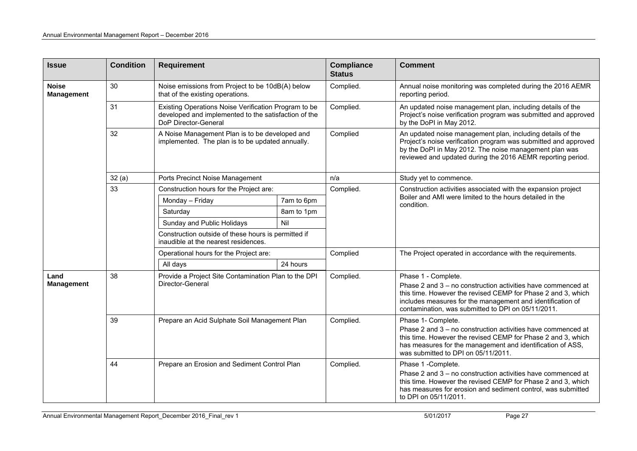| <b>Issue</b>                      | <b>Condition</b> | <b>Requirement</b>                                                                                                                   |            | <b>Compliance</b><br><b>Status</b> | <b>Comment</b>                                                                                                                                                                                                                                                          |
|-----------------------------------|------------------|--------------------------------------------------------------------------------------------------------------------------------------|------------|------------------------------------|-------------------------------------------------------------------------------------------------------------------------------------------------------------------------------------------------------------------------------------------------------------------------|
| <b>Noise</b><br><b>Management</b> | 30               | Noise emissions from Project to be 10dB(A) below<br>that of the existing operations.                                                 |            | Complied.                          | Annual noise monitoring was completed during the 2016 AEMR<br>reporting period.                                                                                                                                                                                         |
|                                   | 31               | Existing Operations Noise Verification Program to be<br>developed and implemented to the satisfaction of the<br>DoP Director-General |            | Complied.                          | An updated noise management plan, including details of the<br>Project's noise verification program was submitted and approved<br>by the DoPI in May 2012.                                                                                                               |
|                                   | 32               | A Noise Management Plan is to be developed and<br>implemented. The plan is to be updated annually.                                   |            | Complied                           | An updated noise management plan, including details of the<br>Project's noise verification program was submitted and approved<br>by the DoPI in May 2012. The noise management plan was<br>reviewed and updated during the 2016 AEMR reporting period.                  |
|                                   | 32(a)            | Ports Precinct Noise Management                                                                                                      |            | n/a                                | Study yet to commence.                                                                                                                                                                                                                                                  |
|                                   | 33               | Construction hours for the Project are:                                                                                              |            | Complied.                          | Construction activities associated with the expansion project                                                                                                                                                                                                           |
|                                   |                  | Monday - Friday                                                                                                                      | 7am to 6pm |                                    | Boiler and AMI were limited to the hours detailed in the<br>condition.                                                                                                                                                                                                  |
|                                   |                  | Saturday                                                                                                                             | 8am to 1pm |                                    |                                                                                                                                                                                                                                                                         |
|                                   |                  | Sunday and Public Holidays                                                                                                           | Nil        |                                    |                                                                                                                                                                                                                                                                         |
|                                   |                  | Construction outside of these hours is permitted if<br>inaudible at the nearest residences.                                          |            |                                    |                                                                                                                                                                                                                                                                         |
|                                   |                  | Operational hours for the Project are:                                                                                               |            | Complied                           | The Project operated in accordance with the requirements.                                                                                                                                                                                                               |
|                                   |                  | All days                                                                                                                             | 24 hours   |                                    |                                                                                                                                                                                                                                                                         |
| Land<br><b>Management</b>         | 38               | Provide a Project Site Contamination Plan to the DPI<br>Director-General                                                             |            | Complied.                          | Phase 1 - Complete.<br>Phase 2 and 3 – no construction activities have commenced at<br>this time. However the revised CEMP for Phase 2 and 3, which<br>includes measures for the management and identification of<br>contamination, was submitted to DPI on 05/11/2011. |
|                                   | 39               | Prepare an Acid Sulphate Soil Management Plan                                                                                        |            | Complied.                          | Phase 1- Complete.<br>Phase 2 and 3 - no construction activities have commenced at<br>this time. However the revised CEMP for Phase 2 and 3, which<br>has measures for the management and identification of ASS,<br>was submitted to DPI on 05/11/2011.                 |
|                                   | 44               | Prepare an Erosion and Sediment Control Plan                                                                                         |            | Complied.                          | Phase 1 -Complete.<br>Phase 2 and 3 - no construction activities have commenced at<br>this time. However the revised CEMP for Phase 2 and 3, which<br>has measures for erosion and sediment control, was submitted<br>to DPI on 05/11/2011.                             |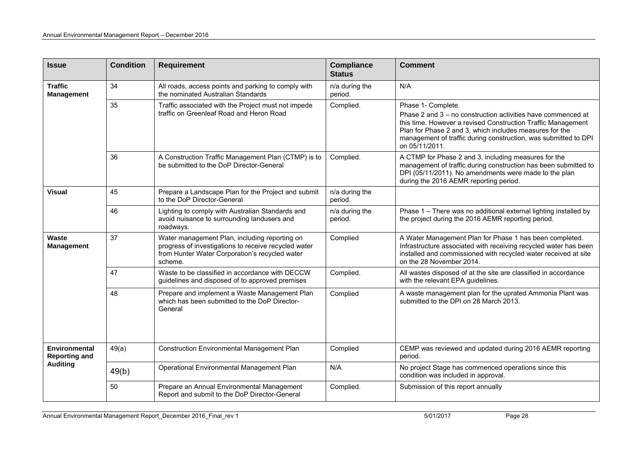| <b>Issue</b>                          | <b>Condition</b> | <b>Requirement</b>                                                                                                                                                 | <b>Compliance</b><br><b>Status</b> | <b>Comment</b>                                                                                                                                                                                                                                                                                     |
|---------------------------------------|------------------|--------------------------------------------------------------------------------------------------------------------------------------------------------------------|------------------------------------|----------------------------------------------------------------------------------------------------------------------------------------------------------------------------------------------------------------------------------------------------------------------------------------------------|
| <b>Traffic</b><br><b>Management</b>   | 34               | All roads, access points and parking to comply with<br>the nominated Australian Standards                                                                          | n/a during the<br>period.          | N/A                                                                                                                                                                                                                                                                                                |
|                                       | 35               | Traffic associated with the Project must not impede<br>traffic on Greenleaf Road and Heron Road                                                                    | Complied.                          | Phase 1- Complete.<br>Phase 2 and 3 – no construction activities have commenced at<br>this time. However a revised Construction Traffic Management<br>Plan for Phase 2 and 3, which includes measures for the<br>management of traffic during construction, was submitted to DPI<br>on 05/11/2011. |
|                                       | 36               | A Construction Traffic Management Plan (CTMP) is to<br>be submitted to the DoP Director-General                                                                    | Complied.                          | A CTMP for Phase 2 and 3, including measures for the<br>management of traffic during construction has been submitted to<br>DPI (05/11/2011). No amendments were made to the plan<br>during the 2016 AEMR reporting period.                                                                         |
| <b>Visual</b>                         | 45               | Prepare a Landscape Plan for the Project and submit<br>to the DoP Director-General                                                                                 | n/a during the<br>period.          |                                                                                                                                                                                                                                                                                                    |
|                                       | 46               | Lighting to comply with Australian Standards and<br>avoid nuisance to surrounding landusers and<br>roadways.                                                       | n/a during the<br>period.          | Phase 1 - There was no additional external lighting installed by<br>the project during the 2016 AEMR reporting period.                                                                                                                                                                             |
| Waste<br><b>Management</b>            | 37               | Water management Plan, including reporting on<br>progress of investigations to receive recycled water<br>from Hunter Water Corporation's recycled water<br>scheme. | Complied                           | A Water Management Plan for Phase 1 has been completed.<br>Infrastructure associated with receiving recycled water has been<br>installed and commissioned with recycled water received at site<br>on the 28 November 2014.                                                                         |
|                                       | 47               | Waste to be classified in accordance with DECCW<br>guidelines and disposed of to approved premises                                                                 | Complied.                          | All wastes disposed of at the site are classified in accordance<br>with the relevant EPA guidelines.                                                                                                                                                                                               |
|                                       | 48               | Prepare and implement a Waste Management Plan<br>which has been submitted to the DoP Director-<br>General                                                          | Complied                           | A waste management plan for the uprated Ammonia Plant was<br>submitted to the DPI on 28 March 2013.                                                                                                                                                                                                |
| Environmental<br><b>Reporting and</b> | 49(a)            | <b>Construction Environmental Management Plan</b>                                                                                                                  | Complied                           | CEMP was reviewed and updated during 2016 AEMR reporting<br>period.                                                                                                                                                                                                                                |
| <b>Auditing</b>                       | 49(b)            | Operational Environmental Management Plan                                                                                                                          | N/A                                | No project Stage has commenced operations since this<br>condition was included in approval.                                                                                                                                                                                                        |
|                                       | 50               | Prepare an Annual Environmental Management<br>Report and submit to the DoP Director-General                                                                        | Complied.                          | Submission of this report annually                                                                                                                                                                                                                                                                 |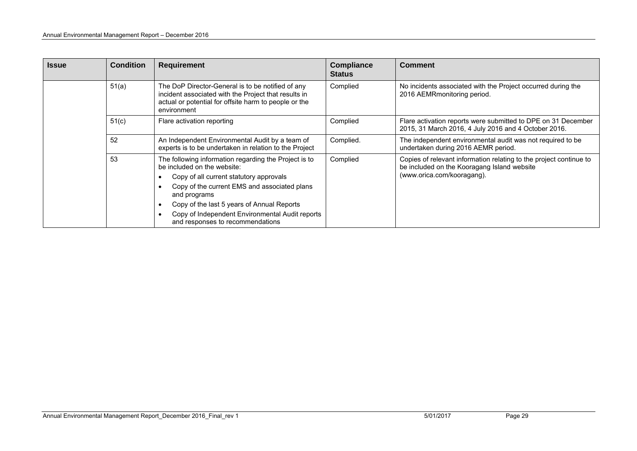| <b>Issue</b> | <b>Condition</b> | <b>Requirement</b>                                                                                                                                                                                                                                                                                                                   | <b>Compliance</b><br><b>Status</b> | <b>Comment</b>                                                                                                                                  |  |  |  |
|--------------|------------------|--------------------------------------------------------------------------------------------------------------------------------------------------------------------------------------------------------------------------------------------------------------------------------------------------------------------------------------|------------------------------------|-------------------------------------------------------------------------------------------------------------------------------------------------|--|--|--|
|              | 51(a)            | The DoP Director-General is to be notified of any<br>incident associated with the Project that results in<br>actual or potential for offsite harm to people or the<br>environment                                                                                                                                                    | Complied                           | No incidents associated with the Project occurred during the<br>2016 AEMRmonitoring period.                                                     |  |  |  |
|              | 51(c)            | Flare activation reporting                                                                                                                                                                                                                                                                                                           | Complied                           | Flare activation reports were submitted to DPE on 31 December<br>2015, 31 March 2016, 4 July 2016 and 4 October 2016.                           |  |  |  |
|              | 52               | An Independent Environmental Audit by a team of<br>experts is to be undertaken in relation to the Project                                                                                                                                                                                                                            | Complied.                          | The independent environmental audit was not required to be<br>undertaken during 2016 AEMR period.                                               |  |  |  |
|              | 53               | The following information regarding the Project is to<br>be included on the website:<br>Copy of all current statutory approvals<br>Copy of the current EMS and associated plans<br>and programs<br>Copy of the last 5 years of Annual Reports<br>Copy of Independent Environmental Audit reports<br>and responses to recommendations | Complied                           | Copies of relevant information relating to the project continue to<br>be included on the Kooragang Island website<br>(www.orica.com/kooragang). |  |  |  |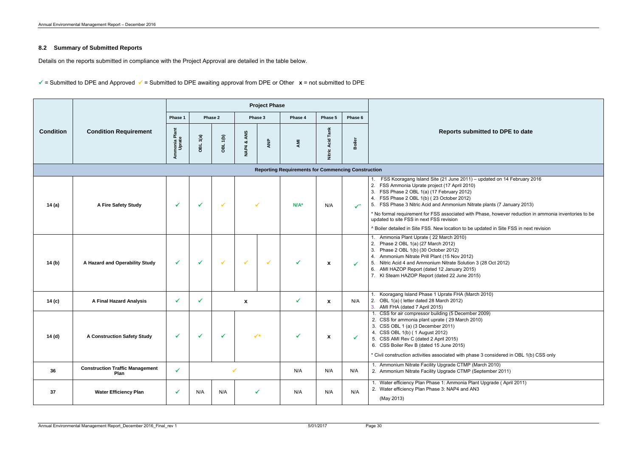#### **8.2 Summary of Submitted Reports**

Details on the reports submitted in compliance with the Project Approval are detailed in the table below.

 $\checkmark$  = Submitted to DPE and Approved  $\checkmark$  = Submitted to DPE awaiting approval from DPE or Other  $\chi$  = not submitted to DPE

|                  |                                                |                         |                     |              |                  | <b>Project Phase</b> |                                                           |                     |               |                                                                                                                                                                                                                                                                                                                                                                                                                                                                   |  |
|------------------|------------------------------------------------|-------------------------|---------------------|--------------|------------------|----------------------|-----------------------------------------------------------|---------------------|---------------|-------------------------------------------------------------------------------------------------------------------------------------------------------------------------------------------------------------------------------------------------------------------------------------------------------------------------------------------------------------------------------------------------------------------------------------------------------------------|--|
|                  |                                                | Phase 1                 |                     | Phase 2      |                  | Phase 3              | Phase 4                                                   | Phase 5             | Phase 6       |                                                                                                                                                                                                                                                                                                                                                                                                                                                                   |  |
| <b>Condition</b> | <b>Condition Requirement</b>                   | Ammonia Plant<br>Uprate | OBL <sub>1(a)</sub> | OBL 1(b)     | ANS<br>ಜ<br>NAP4 | ANP                  | AMI                                                       | Tank<br>Nitric Acid | <b>Boiler</b> | <b>Reports submitted to DPE</b>                                                                                                                                                                                                                                                                                                                                                                                                                                   |  |
|                  |                                                |                         |                     |              |                  |                      | <b>Reporting Requirements for Commencing Construction</b> |                     |               |                                                                                                                                                                                                                                                                                                                                                                                                                                                                   |  |
| 14 (a)           | A Fire Safety Study                            | $\checkmark$            |                     | $\checkmark$ |                  |                      | $N/A^*$                                                   | N/A                 | $\checkmark$  | 1. FSS Kooragang Island Site (21 June 2011) - updated on 14 F<br>2. FSS Ammonia Uprate project (17 April 2010)<br>3. FSS Phase 2 OBL 1(a) (17 February 2012)<br>4. FSS Phase 2 OBL 1(b) (23 October 2012)<br>5. FSS Phase 3 Nitric Acid and Ammonium Nitrate plants (7 Janu<br>* No formal requirement for FSS associated with Phase, however<br>updated to site FSS in next FSS revision<br>^ Boiler detailed in Site FSS. New location to be updated in Site F9 |  |
| 14 (b)           | A Hazard and Operability Study                 | $\checkmark$            |                     | $\checkmark$ | $\checkmark$     | $\checkmark$         | ✓                                                         | X                   | $\checkmark$  | Ammonia Plant Uprate (22 March 2010)<br>2. Phase 2 OBL 1(a) (27 March 2012)<br>Phase 2 OBL 1(b) (30 October 2012)<br>3.<br>4. Ammonium Nitrate Prill Plant (15 Nov 2012)<br>5. Nitric Acid 4 and Ammonium Nitrate Solution 3 (28 Oct 2012)<br>6. AMI HAZOP Report (dated 12 January 2015)<br>7. KI Steam HAZOP Report (dated 22 June 2015)                                                                                                                        |  |
| 14 (c)           | <b>A Final Hazard Analysis</b>                 | $\checkmark$            | ✓                   |              | X                |                      | $\checkmark$                                              | X                   | N/A           | Kooragang Island Phase 1 Uprate FHA (March 2010)<br>2. OBL 1(a) (letter dated 28 March 2012)<br>3. AMI FHA (dated 7 April 2015)                                                                                                                                                                                                                                                                                                                                   |  |
| 14 (d)           | <b>A Construction Safety Study</b>             | ✓                       |                     |              |                  |                      |                                                           |                     |               | 1. CSS for air compressor building (5 December 2009)<br>2. CSS for ammonia plant uprate (29 March 2010)<br>3. CSS OBL 1 (a) (3 December 2011)<br>4. CSS OBL 1(b) (1 August 2012)<br>5. CSS AMI Rev C (dated 2 April 2015)<br>6. CSS Boiler Rev B (dated 15 June 2015)<br>* Civil construction activities associated with phase 3 considered in                                                                                                                    |  |
| 36               | <b>Construction Traffic Management</b><br>Plan | $\checkmark$            |                     |              |                  |                      | N/A                                                       | N/A                 | N/A           | 1. Ammonium Nitrate Facility Upgrade CTMP (March 2010)<br>2. Ammonium Nitrate Facility Upgrade CTMP (September 2011)                                                                                                                                                                                                                                                                                                                                              |  |
| 37               | <b>Water Efficiency Plan</b>                   | $\checkmark$            | N/A                 | N/A          |                  | ✓                    | N/A                                                       | N/A                 | N/A           | 1. Water efficiency Plan Phase 1: Ammonia Plant Upgrade (Apri<br>2. Water efficiency Plan Phase 3: NAP4 and AN3<br>(May 2013)                                                                                                                                                                                                                                                                                                                                     |  |

**Reports belogited to DPE to date** updated on 14 February 2016 te plants (7 January 2013) hase, however reduction in ammonia inventories to be odated in Site FSS in next revision (28 Oct 2012)  $12010$  $2009)$ : 3 considered in OBL 1(b) CSS only t Upgrade ( April 2011)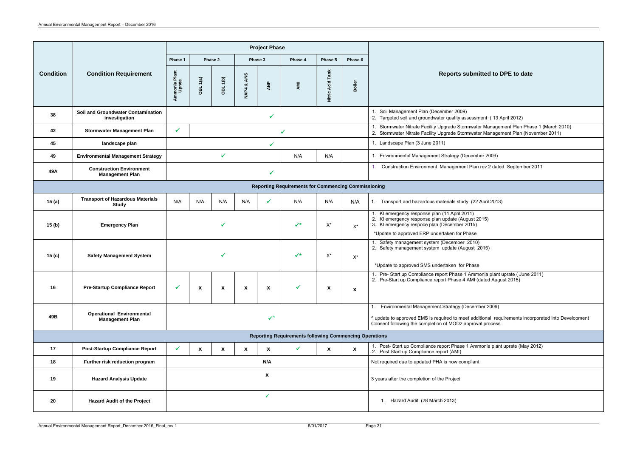|                                                               |                                                            |                                |             |                       |                  | <b>Project Phase</b> |                                                            |                            |                           |                                                                                                                                                                                                                       |
|---------------------------------------------------------------|------------------------------------------------------------|--------------------------------|-------------|-----------------------|------------------|----------------------|------------------------------------------------------------|----------------------------|---------------------------|-----------------------------------------------------------------------------------------------------------------------------------------------------------------------------------------------------------------------|
|                                                               | <b>Condition Requirement</b>                               | Phase 1<br>Phase 2             |             | Phase 3               |                  | Phase 4              | Phase 5                                                    | Phase 6                    |                           |                                                                                                                                                                                                                       |
| <b>Condition</b>                                              |                                                            | Ammonia Plant<br>Uprate        | 1(a)<br>OBL | $\overline{6}$<br>OBL | ANS<br>ೲ<br>NAP4 | ANP                  | AMI                                                        | <b>Acid Tank</b><br>Nitric | Boiler                    | <b>Reports submitted to DPE to date</b>                                                                                                                                                                               |
| 38                                                            | <b>Soil and Groundwater Contamination</b><br>investigation |                                |             |                       |                  |                      |                                                            |                            |                           | 1. Soil Management Plan (December 2009)<br>2. Targeted soil and groundwater quality assessment (13 April 2012)                                                                                                        |
| 42                                                            | <b>Stormwater Management Plan</b>                          | $\checkmark$                   |             |                       |                  |                      | ✔                                                          |                            |                           | 1. Stormwater Nitrate Facility Upgrade Stormwater Management Plan Phase 1 (March 2010)<br>2. Stormwater Nitrate Facility Upgrade Stormwater Management Plan (November 2011)                                           |
| 45                                                            | landscape plan                                             |                                |             |                       |                  | ✔                    |                                                            |                            |                           | 1. Landscape Plan (3 June 2011)                                                                                                                                                                                       |
| 49                                                            | <b>Environmental Management Strategy</b>                   |                                |             | $\checkmark$          |                  |                      | N/A                                                        | N/A                        |                           | 1. Environmental Management Strategy (December 2009)                                                                                                                                                                  |
| 49A                                                           | <b>Construction Environment</b><br><b>Management Plan</b>  |                                |             |                       |                  |                      |                                                            |                            |                           | Construction Environment Management Plan rev 2 dated September 2011                                                                                                                                                   |
|                                                               |                                                            |                                |             |                       |                  |                      | <b>Reporting Requirements for Commencing Commissioning</b> |                            |                           |                                                                                                                                                                                                                       |
| 15(a)                                                         | <b>Transport of Hazardous Materials</b><br><b>Study</b>    | N/A<br>N/A                     |             | N/A                   | N/A              |                      | N/A                                                        | N/A                        | N/A                       | 1. Transport and hazardous materials study (22 April 2013)                                                                                                                                                            |
| 15(b)                                                         | <b>Emergency Plan</b>                                      |                                |             |                       |                  |                      | $\checkmark$                                               | $X^*$                      | $X^*$                     | 1. KI emergency response plan (11 April 2011)<br>2. KI emergency response plan update (August 2015)<br>3. KI emergency respoce plan (December 2015)<br>*Update to approved ERP undertaken for Phase                   |
| 15 <sub>(c)</sub>                                             | <b>Safety Management System</b>                            | $\checkmark$<br>$X^*$<br>$X^*$ |             |                       |                  |                      |                                                            |                            |                           | Safety management system (December 2010)<br>2. Safety management system update (August 2015)<br>*Update to approved SMS undertaken for Phase                                                                          |
| 16                                                            | <b>Pre-Startup Compliance Report</b>                       | $\checkmark$<br>X<br>X         |             |                       | X                | X                    |                                                            | $\boldsymbol{\mathsf{x}}$  | X                         | 1. Pre- Start up Compliance report Phase 1 Ammonia plant uprate (June 2011)<br>2. Pre-Start up Compliance report Phase 4 AMI (dated August 2015)                                                                      |
| 49B                                                           | <b>Operational Environmental</b><br><b>Management Plan</b> |                                |             |                       |                  | $\checkmark$         |                                                            |                            |                           | Environmental Management Strategy (December 2009)<br>^ update to approved EMS is required to meet additional requirements incorporated into Development<br>Consent following the completion of MOD2 approval process. |
| <b>Reporting Requirements following Commencing Operations</b> |                                                            |                                |             |                       |                  |                      |                                                            |                            |                           |                                                                                                                                                                                                                       |
| 17                                                            | <b>Post-Startup Compliance Report</b>                      | $\checkmark$                   | X           | X                     | X                | X                    | $\checkmark$                                               | X                          | $\boldsymbol{\mathsf{x}}$ | 1. Post-Start up Compliance report Phase 1 Ammonia plant uprate (May 2012)<br>2. Post Start up Compliance report (AMI)                                                                                                |
| 18                                                            | Further risk reduction program                             | N/A                            |             |                       |                  |                      |                                                            |                            |                           | Not required due to updated PHA is now compliant                                                                                                                                                                      |
| 19                                                            | <b>Hazard Analysis Update</b>                              | X                              |             |                       |                  |                      |                                                            |                            |                           | 3 years after the completion of the Project                                                                                                                                                                           |
| 20                                                            | <b>Hazard Audit of the Project</b>                         | $\checkmark$                   |             |                       |                  |                      |                                                            |                            |                           | 1. Hazard Audit (28 March 2013)                                                                                                                                                                                       |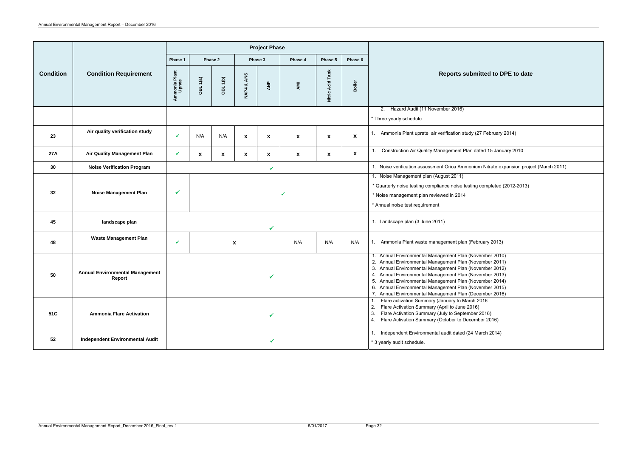|                  |                                                              |                                                                                                                                |             |                    |                                                                   | <b>Project Phase</b> |                           |                                                                                                                                                                                                   |         |                                                                                                                                                                                                                                                                                                                                                                                                                           |
|------------------|--------------------------------------------------------------|--------------------------------------------------------------------------------------------------------------------------------|-------------|--------------------|-------------------------------------------------------------------|----------------------|---------------------------|---------------------------------------------------------------------------------------------------------------------------------------------------------------------------------------------------|---------|---------------------------------------------------------------------------------------------------------------------------------------------------------------------------------------------------------------------------------------------------------------------------------------------------------------------------------------------------------------------------------------------------------------------------|
| <b>Condition</b> |                                                              | Phase 1                                                                                                                        |             | Phase 2            | Phase 3                                                           |                      | Phase 4                   | Phase 5                                                                                                                                                                                           | Phase 6 |                                                                                                                                                                                                                                                                                                                                                                                                                           |
|                  | <b>Condition Requirement</b>                                 | Ammonia Plant<br>Uprate                                                                                                        | OBL 1(a)    | (4)<br>OBL         | ANS<br>œ<br>NAP4                                                  | ANP                  | AMI                       | <b>Acid Tank</b><br>Nitric.                                                                                                                                                                       | Boiler  | Reports submitted to DPE to date                                                                                                                                                                                                                                                                                                                                                                                          |
|                  |                                                              |                                                                                                                                |             |                    |                                                                   |                      |                           |                                                                                                                                                                                                   |         | 2. Hazard Audit (11 November 2016)<br>* Three yearly schedule                                                                                                                                                                                                                                                                                                                                                             |
| 23               | Air quality verification study                               | N/A<br>N/A<br>$\boldsymbol{\mathsf{x}}$<br>$\boldsymbol{\mathsf{x}}$<br>$\boldsymbol{\mathsf{x}}$<br>$\boldsymbol{\mathsf{x}}$ |             | $\pmb{\mathsf{X}}$ | 1. Ammonia Plant uprate air verification study (27 February 2014) |                      |                           |                                                                                                                                                                                                   |         |                                                                                                                                                                                                                                                                                                                                                                                                                           |
| <b>27A</b>       | <b>Air Quality Management Plan</b>                           | ✔                                                                                                                              | $\mathbf x$ | X                  | X                                                                 | $\mathbf{x}$         | $\boldsymbol{\mathsf{x}}$ | $\boldsymbol{\mathsf{x}}$                                                                                                                                                                         | X       | Construction Air Quality Management Plan dated 15 January 2010                                                                                                                                                                                                                                                                                                                                                            |
| 30               | <b>Noise Verification Program</b>                            |                                                                                                                                |             |                    |                                                                   | $\checkmark$         |                           |                                                                                                                                                                                                   |         | 1. Noise verification assessment Orica Ammonium Nitrate expansion project (March 2011)                                                                                                                                                                                                                                                                                                                                    |
| 32               | <b>Noise Management Plan</b><br>$\checkmark$<br>$\checkmark$ |                                                                                                                                |             |                    |                                                                   |                      |                           | 1. Noise Management plan (August 2011)<br>* Quarterly noise testing compliance noise testing completed (2012-2013)<br>* Noise management plan reviewed in 2014<br>* Annual noise test requirement |         |                                                                                                                                                                                                                                                                                                                                                                                                                           |
| 45               | landscape plan                                               |                                                                                                                                |             |                    |                                                                   | $\checkmark$         |                           |                                                                                                                                                                                                   |         | 1. Landscape plan (3 June 2011)                                                                                                                                                                                                                                                                                                                                                                                           |
| 48               | <b>Waste Management Plan</b>                                 | N/A<br>N/A<br>N/A<br>✔<br>$\boldsymbol{\mathsf{x}}$                                                                            |             |                    |                                                                   |                      |                           |                                                                                                                                                                                                   |         | 1. Ammonia Plant waste management plan (February 2013)                                                                                                                                                                                                                                                                                                                                                                    |
| 50               | <b>Annual Environmental Management</b><br>Report             | $\checkmark$                                                                                                                   |             |                    |                                                                   |                      |                           |                                                                                                                                                                                                   |         | 1. Annual Environmental Management Plan (November 2010)<br>2. Annual Environmental Management Plan (November 2011)<br>3. Annual Environmental Management Plan (November 2012)<br>4. Annual Environmental Management Plan (November 2013)<br>5. Annual Environmental Management Plan (November 2014)<br>6. Annual Environmental Management Plan (November 2015)<br>7. Annual Environmental Management Plan (December 2016) |
| 51C              | <b>Ammonia Flare Activation</b>                              |                                                                                                                                |             |                    |                                                                   |                      |                           |                                                                                                                                                                                                   |         | 1. Flare activation Summary (January to March 2016<br>Flare Activation Summary (April to June 2016)<br>2.<br>Flare Activation Summary (July to September 2016)<br>3.<br>4. Flare Activation Summary (October to December 2016)                                                                                                                                                                                            |
| 52               | <b>Independent Environmental Audit</b>                       | ✔                                                                                                                              |             |                    |                                                                   |                      |                           |                                                                                                                                                                                                   |         | 1. Independent Environmental audit dated (24 March 2014)<br>* 3 yearly audit schedule.                                                                                                                                                                                                                                                                                                                                    |